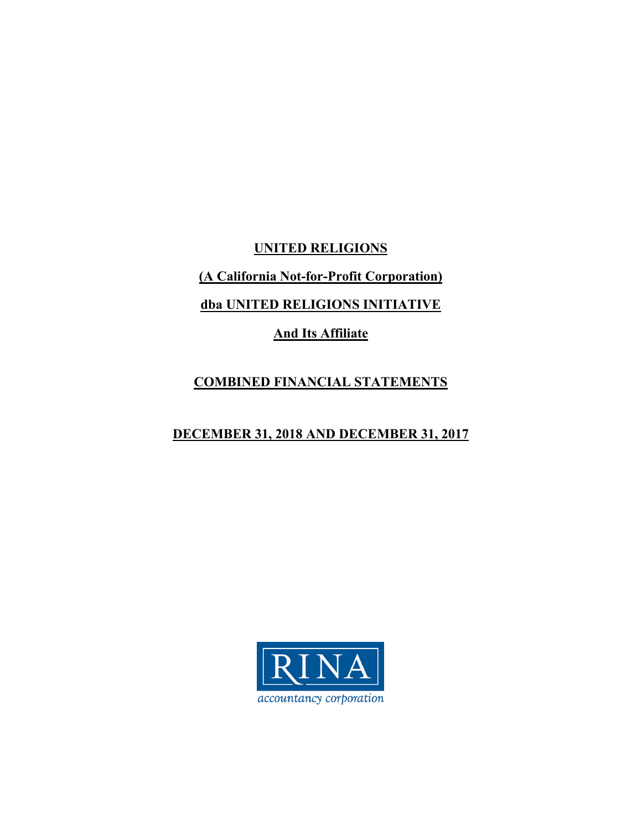**UNITED RELIGIONS** 

**(A California Not-for-Profit Corporation)** 

**dba UNITED RELIGIONS INITIATIVE** 

**And Its Affiliate** 

# **COMBINED FINANCIAL STATEMENTS**

# **DECEMBER 31, 2018 AND DECEMBER 31, 2017**

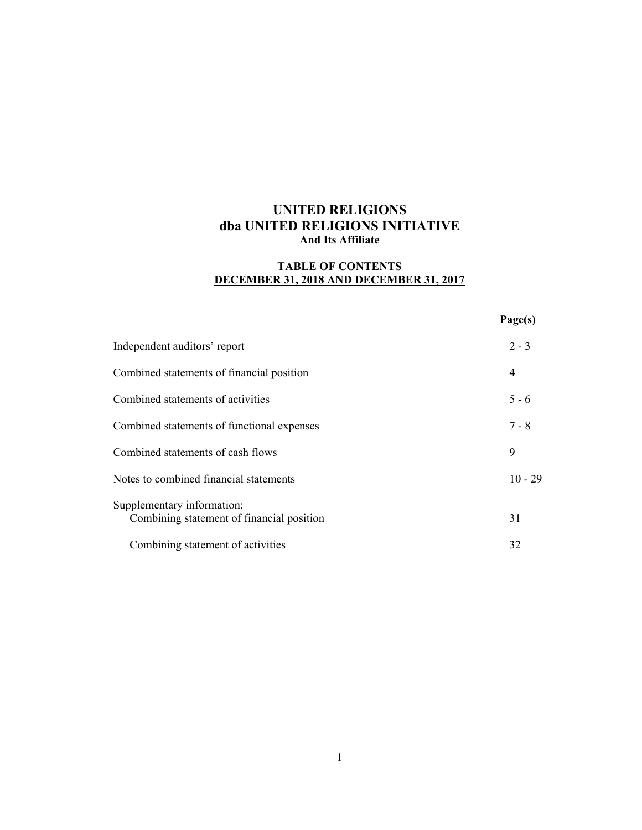### **TABLE OF CONTENTS DECEMBER 31, 2018 AND DECEMBER 31, 2017**

#### **Page(s)**

| Independent auditors' report                                            | $2 - 3$   |
|-------------------------------------------------------------------------|-----------|
| Combined statements of financial position                               | 4         |
| Combined statements of activities                                       | $5 - 6$   |
| Combined statements of functional expenses                              | $7 - 8$   |
| Combined statements of cash flows                                       | 9         |
| Notes to combined financial statements                                  | $10 - 29$ |
| Supplementary information:<br>Combining statement of financial position | 31        |
| Combining statement of activities                                       | 32        |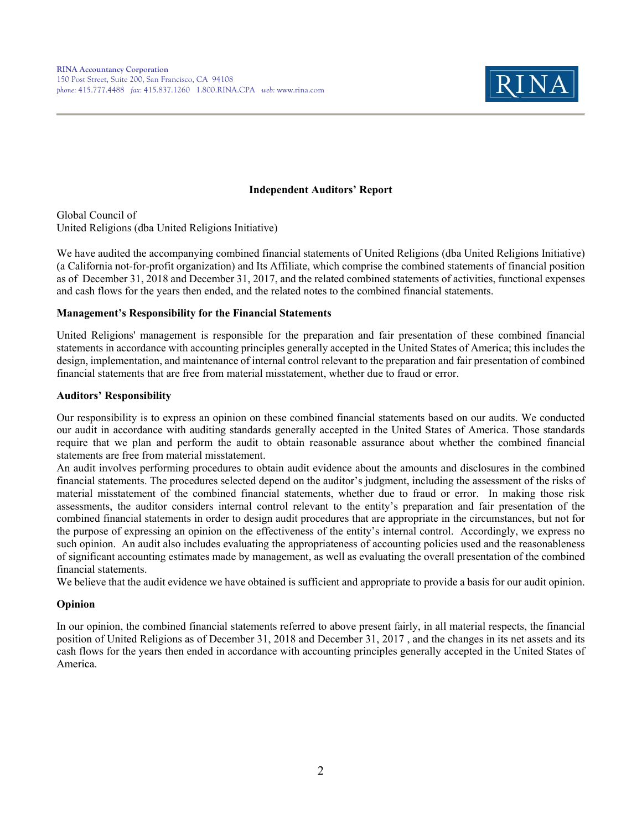

#### **Independent Auditors' Report**

Global Council of United Religions (dba United Religions Initiative)

We have audited the accompanying combined financial statements of United Religions (dba United Religions Initiative) (a California not-for-profit organization) and Its Affiliate, which comprise the combined statements of financial position as of December 31, 2018 and December 31, 2017, and the related combined statements of activities, functional expenses and cash flows for the years then ended, and the related notes to the combined financial statements.

#### **Management's Responsibility for the Financial Statements**

United Religions' management is responsible for the preparation and fair presentation of these combined financial statements in accordance with accounting principles generally accepted in the United States of America; this includes the design, implementation, and maintenance of internal control relevant to the preparation and fair presentation of combined financial statements that are free from material misstatement, whether due to fraud or error.

#### **Auditors' Responsibility**

Our responsibility is to express an opinion on these combined financial statements based on our audits. We conducted our audit in accordance with auditing standards generally accepted in the United States of America. Those standards require that we plan and perform the audit to obtain reasonable assurance about whether the combined financial statements are free from material misstatement.

An audit involves performing procedures to obtain audit evidence about the amounts and disclosures in the combined financial statements. The procedures selected depend on the auditor's judgment, including the assessment of the risks of material misstatement of the combined financial statements, whether due to fraud or error. In making those risk assessments, the auditor considers internal control relevant to the entity's preparation and fair presentation of the combined financial statements in order to design audit procedures that are appropriate in the circumstances, but not for the purpose of expressing an opinion on the effectiveness of the entity's internal control. Accordingly, we express no such opinion. An audit also includes evaluating the appropriateness of accounting policies used and the reasonableness of significant accounting estimates made by management, as well as evaluating the overall presentation of the combined financial statements.

We believe that the audit evidence we have obtained is sufficient and appropriate to provide a basis for our audit opinion.

### **Opinion**

In our opinion, the combined financial statements referred to above present fairly, in all material respects, the financial position of United Religions as of December 31, 2018 and December 31, 2017 , and the changes in its net assets and its cash flows for the years then ended in accordance with accounting principles generally accepted in the United States of America.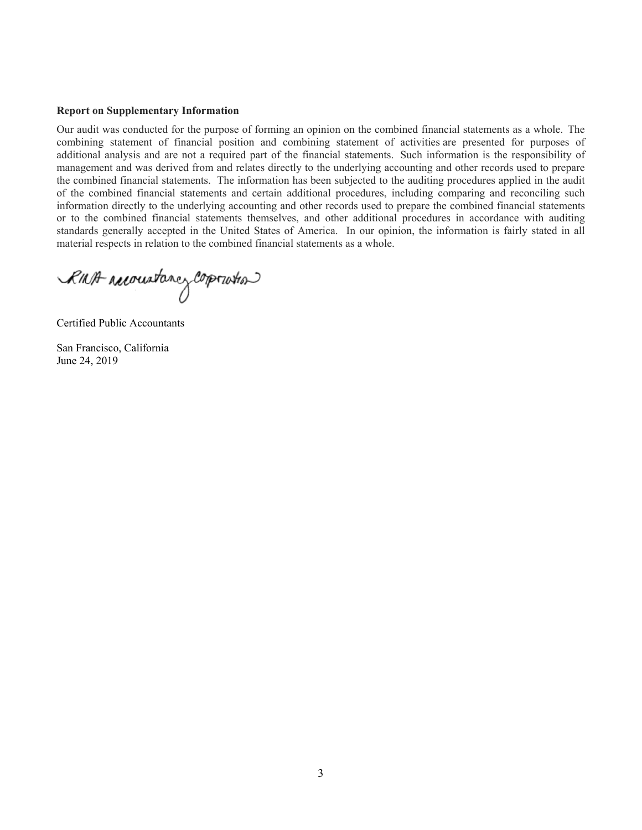#### **Report on Supplementary Information**

Our audit was conducted for the purpose of forming an opinion on the combined financial statements as a whole. The combining statement of financial position and combining statement of activities are presented for purposes of additional analysis and are not a required part of the financial statements. Such information is the responsibility of management and was derived from and relates directly to the underlying accounting and other records used to prepare the combined financial statements. The information has been subjected to the auditing procedures applied in the audit of the combined financial statements and certain additional procedures, including comparing and reconciling such information directly to the underlying accounting and other records used to prepare the combined financial statements or to the combined financial statements themselves, and other additional procedures in accordance with auditing standards generally accepted in the United States of America. In our opinion, the information is fairly stated in all material respects in relation to the combined financial statements as a whole.

RINA reconstance corporation

Certified Public Accountants

San Francisco, California June 24, 2019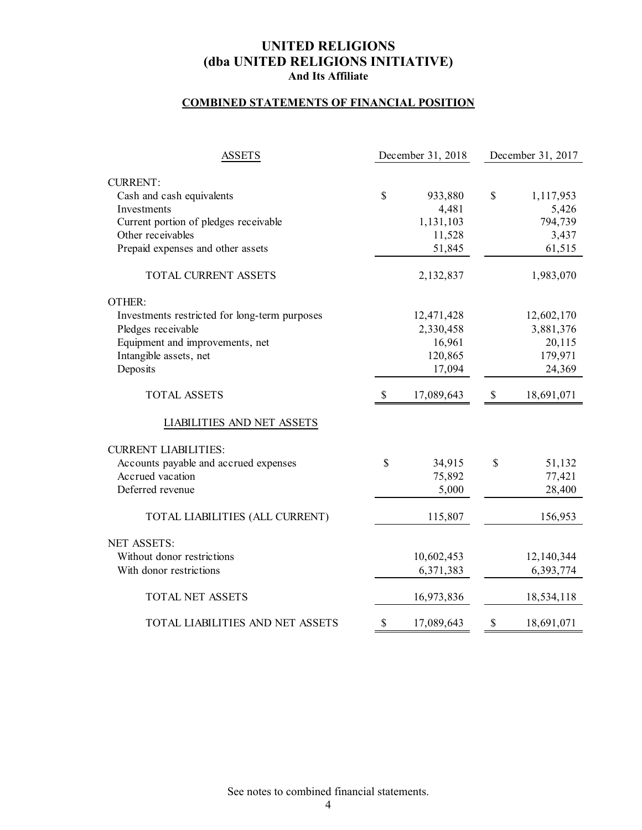### **COMBINED STATEMENTS OF FINANCIAL POSITION**

| <b>ASSETS</b>                                 | December 31, 2018 |            | December 31, 2017 |            |
|-----------------------------------------------|-------------------|------------|-------------------|------------|
|                                               |                   |            |                   |            |
| <b>CURRENT:</b>                               |                   |            |                   |            |
| Cash and cash equivalents                     | \$                | 933,880    | $\mathcal{S}$     | 1,117,953  |
| Investments                                   |                   | 4,481      |                   | 5,426      |
| Current portion of pledges receivable         |                   | 1,131,103  |                   | 794,739    |
| Other receivables                             |                   | 11,528     |                   | 3,437      |
| Prepaid expenses and other assets             |                   | 51,845     |                   | 61,515     |
| TOTAL CURRENT ASSETS                          |                   | 2,132,837  |                   | 1,983,070  |
| OTHER:                                        |                   |            |                   |            |
| Investments restricted for long-term purposes |                   | 12,471,428 |                   | 12,602,170 |
| Pledges receivable                            |                   | 2,330,458  |                   | 3,881,376  |
| Equipment and improvements, net               |                   | 16,961     |                   | 20,115     |
| Intangible assets, net                        |                   | 120,865    |                   | 179,971    |
| Deposits                                      |                   | 17,094     |                   | 24,369     |
| <b>TOTAL ASSETS</b>                           | $\mathbb{S}$      | 17,089,643 | $\$$              | 18,691,071 |
| LIABILITIES AND NET ASSETS                    |                   |            |                   |            |
| <b>CURRENT LIABILITIES:</b>                   |                   |            |                   |            |
| Accounts payable and accrued expenses         | \$                | 34,915     | \$                | 51,132     |
| Accrued vacation                              |                   | 75,892     |                   | 77,421     |
| Deferred revenue                              |                   | 5,000      |                   | 28,400     |
| TOTAL LIABILITIES (ALL CURRENT)               |                   | 115,807    |                   | 156,953    |
| <b>NET ASSETS:</b>                            |                   |            |                   |            |
| Without donor restrictions                    |                   | 10,602,453 |                   | 12,140,344 |
| With donor restrictions                       |                   | 6,371,383  |                   | 6,393,774  |
| <b>TOTAL NET ASSETS</b>                       |                   | 16,973,836 |                   | 18,534,118 |
| TOTAL LIABILITIES AND NET ASSETS              | \$                | 17,089,643 | \$                | 18,691,071 |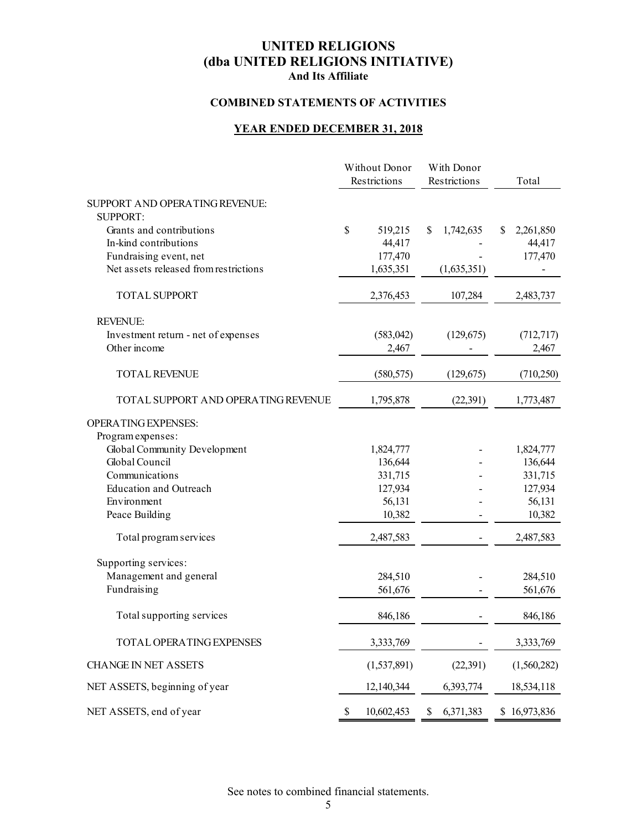### **COMBINED STATEMENTS OF ACTIVITIES**

### **YEAR ENDED DECEMBER 31, 2018**

|                                                   | Without Donor<br>Restrictions | With Donor<br>Restrictions | Total          |
|---------------------------------------------------|-------------------------------|----------------------------|----------------|
| SUPPORT AND OPERATING REVENUE:<br><b>SUPPORT:</b> |                               |                            |                |
| Grants and contributions                          | \$<br>519,215                 | 1,742,635<br>\$            | 2,261,850<br>S |
| In-kind contributions                             | 44,417                        |                            | 44,417         |
| Fundraising event, net                            | 177,470                       |                            | 177,470        |
| Net assets released from restrictions             | 1,635,351                     | (1,635,351)                |                |
| <b>TOTAL SUPPORT</b>                              | 2,376,453                     | 107,284                    | 2,483,737      |
| REVENUE:                                          |                               |                            |                |
| Investment return - net of expenses               | (583, 042)                    | (129, 675)                 | (712, 717)     |
| Other income                                      | 2,467                         |                            | 2,467          |
| <b>TOTAL REVENUE</b>                              | (580, 575)                    | (129, 675)                 | (710, 250)     |
| TOTAL SUPPORT AND OPERATING REVENUE               | 1,795,878                     | (22, 391)                  | 1,773,487      |
| <b>OPERATING EXPENSES:</b>                        |                               |                            |                |
| Program expenses:                                 |                               |                            |                |
| Global Community Development                      | 1,824,777                     |                            | 1,824,777      |
| Global Council                                    | 136,644                       |                            | 136,644        |
| Communications                                    | 331,715                       |                            | 331,715        |
| <b>Education and Outreach</b>                     | 127,934                       |                            | 127,934        |
| Environment                                       | 56,131                        |                            | 56,131         |
| Peace Building                                    | 10,382                        |                            | 10,382         |
| Total program services                            | 2,487,583                     |                            | 2,487,583      |
| Supporting services:                              |                               |                            |                |
| Management and general                            | 284,510                       |                            | 284,510        |
| Fundraising                                       | 561,676                       |                            | 561,676        |
| Total supporting services                         | 846,186                       |                            | 846,186        |
| TOTAL OPERATING EXPENSES                          | 3,333,769                     |                            | 3,333,769      |
| <b>CHANGE IN NET ASSETS</b>                       | (1,537,891)                   | (22, 391)                  | (1,560,282)    |
| NET ASSETS, beginning of year                     | 12,140,344                    | 6,393,774                  | 18,534,118     |
| NET ASSETS, end of year                           | 10,602,453<br>\$              | \$<br>6,371,383            | \$16,973,836   |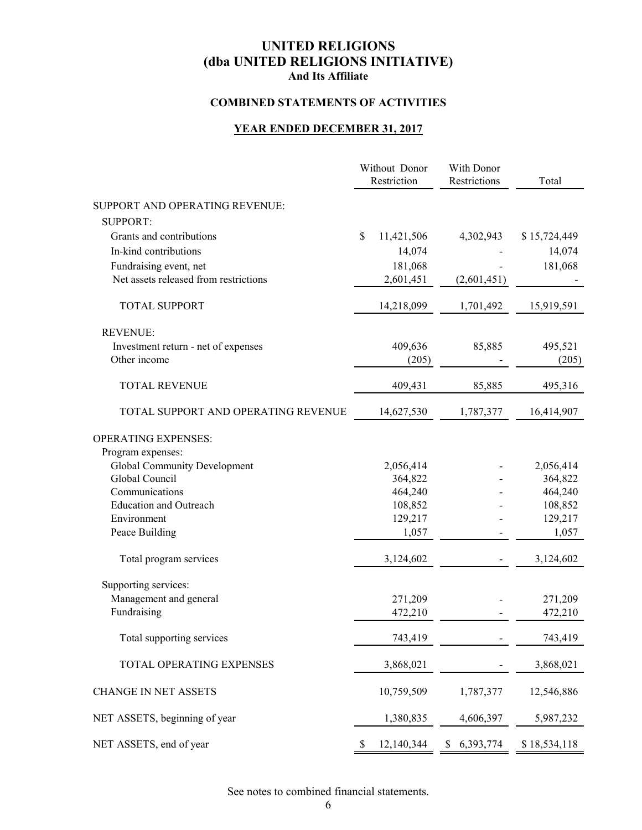### **COMBINED STATEMENTS OF ACTIVITIES**

### **YEAR ENDED DECEMBER 31, 2017**

|                                       | Without Donor<br>Restriction | With Donor<br>Restrictions | Total        |
|---------------------------------------|------------------------------|----------------------------|--------------|
| SUPPORT AND OPERATING REVENUE:        |                              |                            |              |
| <b>SUPPORT:</b>                       |                              |                            |              |
| Grants and contributions              | \$<br>11,421,506             | 4,302,943                  | \$15,724,449 |
| In-kind contributions                 | 14,074                       |                            | 14,074       |
| Fundraising event, net                | 181,068                      |                            | 181,068      |
| Net assets released from restrictions | 2,601,451                    | (2,601,451)                |              |
|                                       |                              |                            |              |
| <b>TOTAL SUPPORT</b>                  | 14,218,099                   | 1,701,492                  | 15,919,591   |
| <b>REVENUE:</b>                       |                              |                            |              |
| Investment return - net of expenses   | 409,636                      | 85,885                     | 495,521      |
| Other income                          | (205)                        |                            | (205)        |
| <b>TOTAL REVENUE</b>                  | 409,431                      | 85,885                     | 495,316      |
| TOTAL SUPPORT AND OPERATING REVENUE   | 14,627,530                   | 1,787,377                  | 16,414,907   |
| <b>OPERATING EXPENSES:</b>            |                              |                            |              |
| Program expenses:                     |                              |                            |              |
| Global Community Development          | 2,056,414                    |                            | 2,056,414    |
| Global Council                        | 364,822                      |                            | 364,822      |
| Communications                        | 464,240                      |                            | 464,240      |
| <b>Education and Outreach</b>         | 108,852                      |                            | 108,852      |
| Environment                           | 129,217                      |                            | 129,217      |
| Peace Building                        | 1,057                        |                            | 1,057        |
| Total program services                | 3,124,602                    |                            | 3,124,602    |
| Supporting services:                  |                              |                            |              |
| Management and general                | 271,209                      |                            | 271,209      |
| Fundraising                           | 472,210                      |                            | 472,210      |
| Total supporting services             | 743,419                      |                            | 743,419      |
| TOTAL OPERATING EXPENSES              | 3,868,021                    |                            | 3,868,021    |
| <b>CHANGE IN NET ASSETS</b>           | 10,759,509                   | 1,787,377                  | 12,546,886   |
| NET ASSETS, beginning of year         | 1,380,835                    | 4,606,397                  | 5,987,232    |
| NET ASSETS, end of year               | 12,140,344<br><sup>\$</sup>  | \$6,393,774                | \$18,534,118 |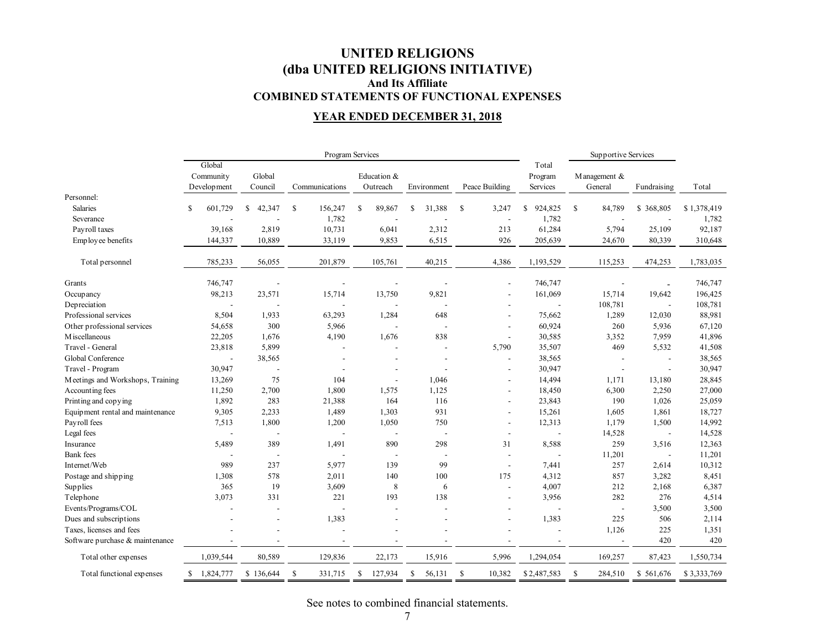### **UNITED RELIGIONS (dba UNITED RELIGIONS INITIATIVE) And Its Affiliate COMBINED STATEMENTS OF FUNCTIONAL EXPENSES**

### **YEAR ENDED DECEMBER 31, 2018**

|                                  | Program Services |                          |                |                          |                          |                          |               | Supportive Services     |                          |             |
|----------------------------------|------------------|--------------------------|----------------|--------------------------|--------------------------|--------------------------|---------------|-------------------------|--------------------------|-------------|
|                                  | Global           |                          |                |                          |                          |                          | Total         |                         |                          |             |
|                                  | Community        | Global                   |                | Education &              |                          |                          | Program       | Management &            |                          |             |
|                                  | Development      | Council                  | Communications | Outreach                 | Environment              | Peace Building           | Services      | General                 | Fundraising              | Total       |
| Personnel:                       |                  |                          |                |                          |                          |                          |               |                         |                          |             |
| <b>Salaries</b>                  | S<br>601,729     | 42,347<br>S              | \$<br>156,247  | \$<br>89,867             | 31,388<br>\$             | -S<br>3,247              | \$<br>924,825 | <sup>\$</sup><br>84,789 | \$368,805                | \$1,378,419 |
| Severance                        |                  |                          | 1,782          |                          |                          | $\overline{a}$           | 1,782         |                         |                          | 1,782       |
| Payroll taxes                    | 39,168           | 2,819                    | 10,731         | 6,041                    | 2,312                    | 213                      | 61,284        | 5,794                   | 25,109                   | 92,187      |
| Employee benefits                | 144,337          | 10,889                   | 33,119         | 9,853                    | 6,515                    | 926                      | 205,639       | 24,670                  | 80,339                   | 310,648     |
| Total personnel                  | 785,233          | 56,055                   | 201,879        | 105,761                  | 40,215                   | 4,386                    | 1,193,529     | 115,253                 | 474,253                  | 1,783,035   |
| Grants                           | 746,747          |                          |                |                          |                          |                          | 746,747       |                         |                          | 746,747     |
| Occupancy                        | 98,213           | 23,571                   | 15,714         | 13,750                   | 9,821                    |                          | 161,069       | 15,714                  | 19,642                   | 196,425     |
| Depreciation                     |                  |                          |                |                          |                          |                          |               | 108,781                 | $\blacksquare$           | 108,781     |
| Professional services            | 8,504            | 1,933                    | 63,293         | 1,284                    | 648                      |                          | 75,662        | 1,289                   | 12,030                   | 88,981      |
| Other professional services      | 54,658           | 300                      | 5,966          | $\overline{\phantom{a}}$ | $\overline{\phantom{a}}$ | $\overline{\phantom{a}}$ | 60,924        | 260                     | 5,936                    | 67,120      |
| M iscellaneous                   | 22,205           | 1,676                    | 4,190          | 1,676                    | 838                      | $\overline{a}$           | 30,585        | 3,352                   | 7,959                    | 41,896      |
| Travel - General                 | 23,818           | 5,899                    |                | L,                       |                          | 5,790                    | 35,507        | 469                     | 5,532                    | 41,508      |
| Global Conference                |                  | 38,565                   |                |                          | $\overline{a}$           | $\overline{\phantom{a}}$ | 38,565        |                         | $\overline{a}$           | 38,565      |
| Travel - Program                 | 30,947           | $\overline{\phantom{a}}$ |                | ٠                        |                          | $\overline{\phantom{a}}$ | 30,947        | L,                      | $\overline{a}$           | 30,947      |
| Meetings and Workshops, Training | 13,269           | 75                       | 104            | $\overline{a}$           | 1,046                    | $\blacksquare$           | 14,494        | 1,171                   | 13,180                   | 28,845      |
| Accounting fees                  | 11,250           | 2,700                    | 1,800          | 1,575                    | 1,125                    | $\blacksquare$           | 18,450        | 6,300                   | 2,250                    | 27,000      |
| Printing and copying             | 1,892            | 283                      | 21,388         | 164                      | 116                      | $\overline{\phantom{a}}$ | 23,843        | 190                     | 1,026                    | 25,059      |
| Equipment rental and maintenance | 9,305            | 2,233                    | 1,489          | 1,303                    | 931                      | $\overline{\phantom{a}}$ | 15,261        | 1,605                   | 1,861                    | 18,727      |
| Payroll fees                     | 7,513            | 1,800                    | 1,200          | 1,050                    | 750                      | $\overline{\phantom{a}}$ | 12,313        | 1,179                   | 1,500                    | 14,992      |
| Legal fees                       |                  | $\overline{\phantom{a}}$ |                | $\overline{\phantom{a}}$ | $\overline{\phantom{a}}$ | $\overline{\phantom{a}}$ |               | 14,528                  | $\overline{\phantom{a}}$ | 14,528      |
| Insurance                        | 5,489            | 389                      | 1,491          | 890                      | 298                      | 31                       | 8,588         | 259                     | 3,516                    | 12,363      |
| <b>Bank</b> fees                 |                  | $\overline{\phantom{a}}$ | $\overline{a}$ | $\overline{a}$           | $\overline{a}$           | $\overline{\phantom{a}}$ |               | 11,201                  | $\blacksquare$           | 11,201      |
| Internet/Web                     | 989              | 237                      | 5,977          | 139                      | 99                       | $\overline{a}$           | 7,441         | 257                     | 2,614                    | 10,312      |
| Postage and shipping             | 1,308            | 578                      | 2,011          | 140                      | 100                      | 175                      | 4,312         | 857                     | 3,282                    | 8,451       |
| Supplies                         | 365              | 19                       | 3,609          | 8                        | 6                        | $\overline{\phantom{a}}$ | 4,007         | 212                     | 2,168                    | 6,387       |
| Telephone                        | 3,073            | 331                      | 221            | 193                      | 138                      | $\overline{\phantom{a}}$ | 3,956         | 282                     | 276                      | 4,514       |
| Events/Programs/COL              |                  |                          |                |                          |                          |                          |               | $\blacksquare$          | 3,500                    | 3,500       |
| Dues and subscriptions           |                  |                          | 1,383          |                          |                          | $\overline{\phantom{a}}$ | 1,383         | 225                     | 506                      | 2,114       |
| Taxes, licenses and fees         |                  |                          |                |                          |                          |                          |               | 1,126                   | 225                      | 1,351       |
| Software purchase & maintenance  |                  |                          |                |                          |                          |                          |               |                         | 420                      | 420         |
| Total other expenses             | 1,039,544        | 80,589                   | 129,836        | 22,173                   | 15,916                   | 5,996                    | 1,294,054     | 169,257                 | 87,423                   | 1,550,734   |
| Total functional expenses        | 1,824,777<br>S   | \$136,644                | \$<br>331,715  | \$<br>127,934            | \$<br>56,131             | \$<br>10,382             | \$2,487,583   | S<br>284,510            | \$561,676                | \$3,333,769 |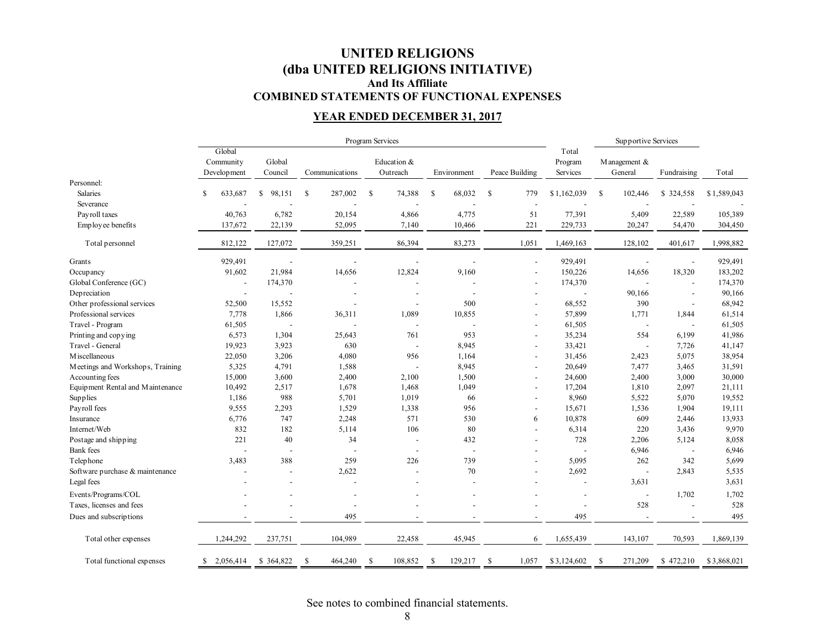### **UNITED RELIGIONS (dba UNITED RELIGIONS INITIATIVE) And Its Affiliate COMBINED STATEMENTS OF FUNCTIONAL EXPENSES**

### **YEAR ENDED DECEMBER 31, 2017**

|                                  | Program Services         |                          |                          |                         |                          |                          |                  | Supportive Services      |                          |             |
|----------------------------------|--------------------------|--------------------------|--------------------------|-------------------------|--------------------------|--------------------------|------------------|--------------------------|--------------------------|-------------|
|                                  | Global<br>Community      | Global                   |                          | Education &             |                          |                          | Total<br>Program | M anagement &            |                          |             |
|                                  | Development              | Council                  | Communications           | Outreach                | Environment              | Peace Building           | Services         | General                  | Fundraising              | Total       |
| Personnel:                       |                          |                          |                          |                         |                          |                          |                  |                          |                          |             |
| Salaries                         | S<br>633,687             | 98,151<br>S.             | 287,002<br><sup>\$</sup> | <sup>\$</sup><br>74,388 | <sup>\$</sup><br>68,032  | $\mathbb{S}$<br>779      | \$1,162,039      | <sup>S</sup><br>102,446  | \$324,558                | \$1,589,043 |
| Severance                        |                          |                          |                          |                         |                          | $\overline{\phantom{a}}$ |                  |                          |                          |             |
| Payroll taxes                    | 40,763                   | 6,782                    | 20,154                   | 4,866                   | 4,775                    | 51                       | 77,391           | 5,409                    | 22,589                   | 105,389     |
| Employee benefits                | 137,672                  | 22,139                   | 52,095                   | 7,140                   | 10,466                   | 221                      | 229,733          | 20,247                   | 54,470                   | 304,450     |
| Total personnel                  | 812,122                  | 127,072                  | 359,251                  | 86,394                  | 83,273                   | 1,051                    | 1,469,163        | 128,102                  | 401,617                  | 1,998,882   |
| Grants                           | 929,491                  |                          |                          |                         |                          |                          | 929,491          |                          | ÷,                       | 929,491     |
| Occupancy                        | 91,602                   | 21,984                   | 14,656                   | 12,824                  | 9,160                    | $\overline{\phantom{a}}$ | 150,226          | 14,656                   | 18,320                   | 183,202     |
| Global Conference (GC)           | $\overline{\phantom{a}}$ | 174,370                  |                          |                         |                          | $\overline{a}$           | 174,370          |                          | ÷,                       | 174,370     |
| Depreciation                     | $\overline{a}$           |                          |                          |                         |                          |                          |                  | 90,166                   | $\overline{\phantom{a}}$ | 90,166      |
| Other professional services      | 52,500                   | 15,552                   | $\overline{a}$           |                         | 500                      |                          | 68,552           | 390                      | $\overline{\phantom{a}}$ | 68,942      |
| Professional services            | 7,778                    | 1,866                    | 36,311                   | 1,089                   | 10,855                   | $\overline{\phantom{a}}$ | 57,899           | 1,771                    | 1,844                    | 61,514      |
| Travel - Program                 | 61,505                   | $\overline{\phantom{a}}$ |                          |                         |                          | $\overline{\phantom{a}}$ | 61,505           | $\overline{\phantom{a}}$ | $\overline{\phantom{a}}$ | 61,505      |
| Printing and copying             | 6,573                    | 1,304                    | 25,643                   | 761                     | 953                      | $\overline{\phantom{a}}$ | 35,234           | 554                      | 6,199                    | 41,986      |
| Travel - General                 | 19,923                   | 3,923                    | 630                      |                         | 8,945                    | $\overline{a}$           | 33,421           |                          | 7,726                    | 41,147      |
| M iscellaneous                   | 22,050                   | 3,206                    | 4,080                    | 956                     | 1,164                    | $\overline{a}$           | 31,456           | 2,423                    | 5,075                    | 38,954      |
| Meetings and Workshops, Training | 5,325                    | 4,791                    | 1,588                    |                         | 8,945                    | $\overline{\phantom{a}}$ | 20,649           | 7,477                    | 3,465                    | 31,591      |
| Accounting fees                  | 15,000                   | 3,600                    | 2,400                    | 2,100                   | 1,500                    |                          | 24,600           | 2,400                    | 3,000                    | 30,000      |
| Equipment Rental and Maintenance | 10,492                   | 2,517                    | 1,678                    | 1,468                   | 1,049                    | $\overline{\phantom{a}}$ | 17,204           | 1,810                    | 2,097                    | 21,111      |
| Supplies                         | 1,186                    | 988                      | 5,701                    | 1,019                   | 66                       | $\overline{\phantom{a}}$ | 8,960            | 5,522                    | 5,070                    | 19,552      |
| Payroll fees                     | 9,555                    | 2,293                    | 1,529                    | 1,338                   | 956                      | $\overline{a}$           | 15,671           | 1,536                    | 1,904                    | 19,111      |
| Insurance                        | 6,776                    | 747                      | 2,248                    | 571                     | 530                      | 6                        | 10,878           | 609                      | 2,446                    | 13,933      |
| Internet/Web                     | 832                      | 182                      | 5,114                    | 106                     | 80                       | $\overline{a}$           | 6,314            | 220                      | 3,436                    | 9,970       |
| Postage and shipping             | 221                      | 40                       | 34                       |                         | 432                      | $\overline{\phantom{a}}$ | 728              | 2,206                    | 5,124                    | 8,058       |
| <b>Bank</b> fees                 | $\overline{a}$           | $\overline{\phantom{a}}$ | ÷,                       |                         | $\overline{\phantom{a}}$ | $\overline{\phantom{a}}$ |                  | 6,946                    | $\overline{\phantom{a}}$ | 6,946       |
| Telephone                        | 3,483                    | 388                      | 259                      | 226                     | 739                      |                          | 5,095            | 262                      | 342                      | 5,699       |
| Software purchase & maintenance  |                          | $\overline{a}$           | 2,622                    |                         | $70\,$                   | $\overline{\phantom{a}}$ | 2,692            |                          | 2,843                    | 5,535       |
| Legal fees                       |                          | $\overline{a}$           | $\overline{a}$           |                         |                          | $\overline{a}$           |                  | 3,631                    |                          | 3,631       |
| Events/Programs/COL              |                          |                          |                          |                         |                          |                          |                  | $\overline{\phantom{a}}$ | 1,702                    | 1,702       |
| Taxes, licenses and fees         |                          |                          |                          |                         |                          |                          |                  | 528                      | $\overline{\phantom{a}}$ | 528         |
| Dues and subscriptions           |                          |                          | 495                      |                         |                          |                          | 495              |                          |                          | 495         |
| Total other expenses             | 1,244,292                | 237,751                  | 104,989                  | 22,458                  | 45,945                   | 6                        | 1,655,439        | 143,107                  | 70,593                   | 1,869,139   |
| Total functional expenses        | 2,056,414<br>\$          | \$364,822                | <sup>\$</sup><br>464,240 | \$<br>108,852           | 129,217<br>-S            | \$<br>1,057              | \$3,124,602      | <sup>\$</sup><br>271,209 | \$472,210                | \$3,868,021 |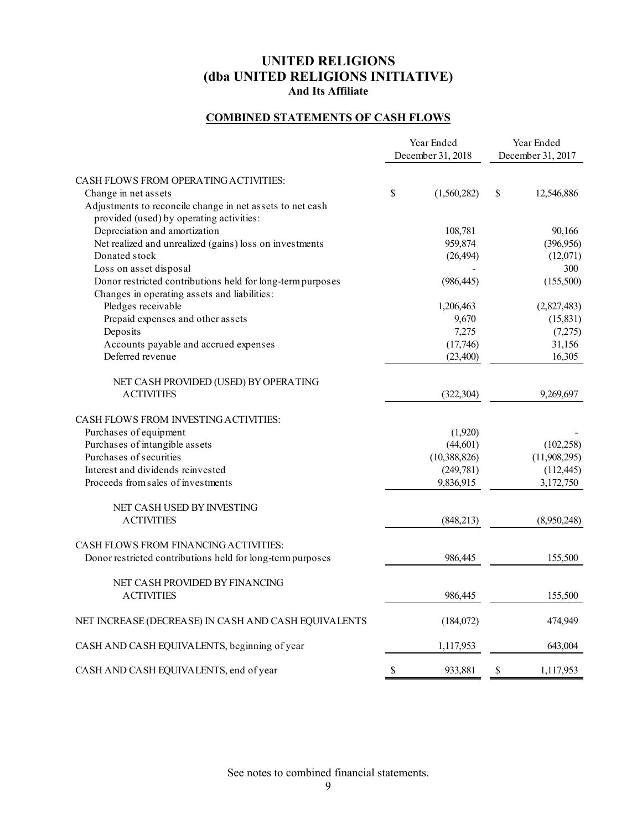### **COMBINED STATEMENTS OF CASH FLOWS**

|                                                                                                            | Year Ended<br>December 31, 2018 | Year Ended<br>December 31, 2017 |              |
|------------------------------------------------------------------------------------------------------------|---------------------------------|---------------------------------|--------------|
| CASH FLOWS FROM OPERATING ACTIVITIES:                                                                      |                                 |                                 |              |
| Change in net assets                                                                                       | \$<br>(1,560,282)               | \$                              | 12,546,886   |
| Adjustments to reconcile change in net assets to net cash<br>provided (used) by operating activities:      |                                 |                                 |              |
| Depreciation and amortization                                                                              | 108,781                         |                                 | 90,166       |
| Net realized and unrealized (gains) loss on investments                                                    | 959,874                         |                                 | (396, 956)   |
| Donated stock                                                                                              | (26, 494)                       |                                 | (12,071)     |
| Loss on asset disposal                                                                                     |                                 |                                 | 300          |
| Donor restricted contributions held for long-term purposes<br>Changes in operating assets and liabilities: | (986, 445)                      |                                 | (155,500)    |
| Pledges receivable                                                                                         | 1,206,463                       |                                 | (2,827,483)  |
| Prepaid expenses and other assets                                                                          | 9,670                           |                                 | (15, 831)    |
| Deposits                                                                                                   | 7,275                           |                                 | (7,275)      |
| Accounts payable and accrued expenses                                                                      | (17,746)                        |                                 | 31,156       |
| Deferred revenue                                                                                           | (23,400)                        |                                 | 16,305       |
| NET CASH PROVIDED (USED) BY OPERATING                                                                      |                                 |                                 |              |
| <b>ACTIVITIES</b>                                                                                          | (322, 304)                      |                                 | 9,269,697    |
| CASH FLOWS FROM INVESTING ACTIVITIES:                                                                      |                                 |                                 |              |
| Purchases of equipment                                                                                     | (1,920)                         |                                 |              |
| Purchases of intangible assets                                                                             | (44, 601)                       |                                 | (102, 258)   |
| Purchases of securities                                                                                    | (10, 388, 826)                  |                                 | (11,908,295) |
| Interest and dividends reinvested                                                                          | (249, 781)                      |                                 | (112, 445)   |
| Proceeds from sales of investments                                                                         | 9,836,915                       |                                 | 3,172,750    |
| NET CASH USED BY INVESTING                                                                                 |                                 |                                 |              |
| <b>ACTIVITIES</b>                                                                                          | (848, 213)                      |                                 | (8,950,248)  |
| CASH FLOWS FROM FINANCING ACTIVITIES:<br>Donor restricted contributions held for long-term purposes        | 986,445                         |                                 | 155,500      |
| NET CASH PROVIDED BY FINANCING                                                                             |                                 |                                 |              |
| <b>ACTIVITIES</b>                                                                                          | 986,445                         |                                 | 155,500      |
| NET INCREASE (DECREASE) IN CASH AND CASH EQUIVALENTS                                                       | (184,072)                       |                                 | 474,949      |
| CASH AND CASH EQUIVALENTS, beginning of year                                                               | 1,117,953                       |                                 | 643,004      |
| CASH AND CASH EQUIVALENTS, end of year                                                                     | \$<br>933,881                   | \$                              | 1,117,953    |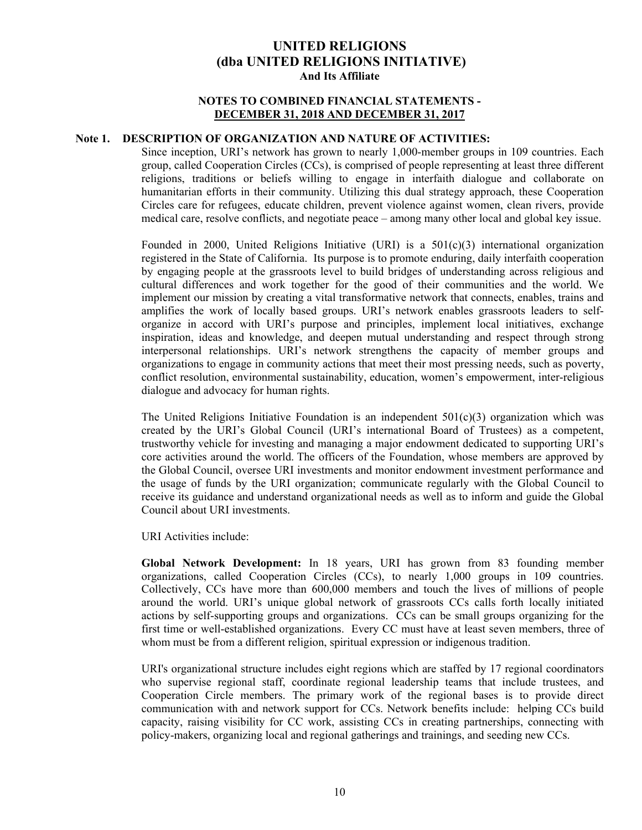#### **NOTES TO COMBINED FINANCIAL STATEMENTS - DECEMBER 31, 2018 AND DECEMBER 31, 2017**

#### **Note 1. DESCRIPTION OF ORGANIZATION AND NATURE OF ACTIVITIES:**

Since inception, URI's network has grown to nearly 1,000-member groups in 109 countries. Each group, called Cooperation Circles (CCs), is comprised of people representing at least three different religions, traditions or beliefs willing to engage in interfaith dialogue and collaborate on humanitarian efforts in their community. Utilizing this dual strategy approach, these Cooperation Circles care for refugees, educate children, prevent violence against women, clean rivers, provide medical care, resolve conflicts, and negotiate peace – among many other local and global key issue.

Founded in 2000, United Religions Initiative (URI) is a  $501(c)(3)$  international organization registered in the State of California. Its purpose is to promote enduring, daily interfaith cooperation by engaging people at the grassroots level to build bridges of understanding across religious and cultural differences and work together for the good of their communities and the world. We implement our mission by creating a vital transformative network that connects, enables, trains and amplifies the work of locally based groups. URI's network enables grassroots leaders to selforganize in accord with URI's purpose and principles, implement local initiatives, exchange inspiration, ideas and knowledge, and deepen mutual understanding and respect through strong interpersonal relationships. URI's network strengthens the capacity of member groups and organizations to engage in community actions that meet their most pressing needs, such as poverty, conflict resolution, environmental sustainability, education, women's empowerment, inter-religious dialogue and advocacy for human rights.

The United Religions Initiative Foundation is an independent  $501(c)(3)$  organization which was created by the URI's Global Council (URI's international Board of Trustees) as a competent, trustworthy vehicle for investing and managing a major endowment dedicated to supporting URI's core activities around the world. The officers of the Foundation, whose members are approved by the Global Council, oversee URI investments and monitor endowment investment performance and the usage of funds by the URI organization; communicate regularly with the Global Council to receive its guidance and understand organizational needs as well as to inform and guide the Global Council about URI investments.

URI Activities include:

**Global Network Development:** In 18 years, URI has grown from 83 founding member organizations, called Cooperation Circles (CCs), to nearly 1,000 groups in 109 countries. Collectively, CCs have more than 600,000 members and touch the lives of millions of people around the world. URI's unique global network of grassroots CCs calls forth locally initiated actions by self-supporting groups and organizations. CCs can be small groups organizing for the first time or well-established organizations. Every CC must have at least seven members, three of whom must be from a different religion, spiritual expression or indigenous tradition.

URI's organizational structure includes eight regions which are staffed by 17 regional coordinators who supervise regional staff, coordinate regional leadership teams that include trustees, and Cooperation Circle members. The primary work of the regional bases is to provide direct communication with and network support for CCs. Network benefits include: helping CCs build capacity, raising visibility for CC work, assisting CCs in creating partnerships, connecting with policy-makers, organizing local and regional gatherings and trainings, and seeding new CCs.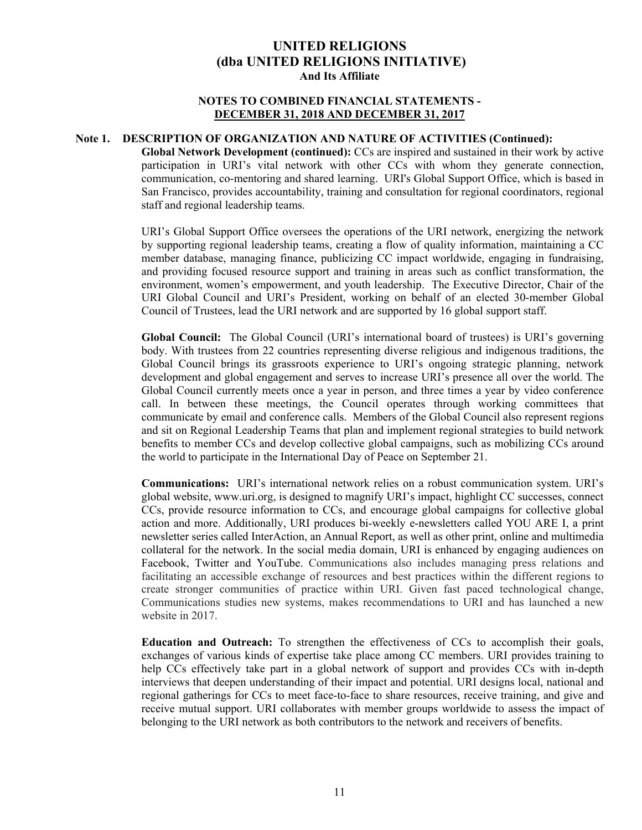#### **NOTES TO COMBINED FINANCIAL STATEMENTS - DECEMBER 31, 2018 AND DECEMBER 31, 2017**

#### **Note 1. DESCRIPTION OF ORGANIZATION AND NATURE OF ACTIVITIES (Continued):**

**Global Network Development (continued):** CCs are inspired and sustained in their work by active participation in URI's vital network with other CCs with whom they generate connection, communication, co-mentoring and shared learning. URI's Global Support Office, which is based in San Francisco, provides accountability, training and consultation for regional coordinators, regional staff and regional leadership teams.

URI's Global Support Office oversees the operations of the URI network, energizing the network by supporting regional leadership teams, creating a flow of quality information, maintaining a CC member database, managing finance, publicizing CC impact worldwide, engaging in fundraising, and providing focused resource support and training in areas such as conflict transformation, the environment, women's empowerment, and youth leadership. The Executive Director, Chair of the URI Global Council and URI's President, working on behalf of an elected 30-member Global Council of Trustees, lead the URI network and are supported by 16 global support staff.

**Global Council:** The Global Council (URI's international board of trustees) is URI's governing body. With trustees from 22 countries representing diverse religious and indigenous traditions, the Global Council brings its grassroots experience to URI's ongoing strategic planning, network development and global engagement and serves to increase URI's presence all over the world. The Global Council currently meets once a year in person, and three times a year by video conference call. In between these meetings, the Council operates through working committees that communicate by email and conference calls. Members of the Global Council also represent regions and sit on Regional Leadership Teams that plan and implement regional strategies to build network benefits to member CCs and develop collective global campaigns, such as mobilizing CCs around the world to participate in the International Day of Peace on September 21.

**Communications:** URI's international network relies on a robust communication system. URI's global website, www.uri.org, is designed to magnify URI's impact, highlight CC successes, connect CCs, provide resource information to CCs, and encourage global campaigns for collective global action and more. Additionally, URI produces bi-weekly e-newsletters called YOU ARE I, a print newsletter series called InterAction, an Annual Report, as well as other print, online and multimedia collateral for the network. In the social media domain, URI is enhanced by engaging audiences on Facebook, Twitter and YouTube. Communications also includes managing press relations and facilitating an accessible exchange of resources and best practices within the different regions to create stronger communities of practice within URI. Given fast paced technological change, Communications studies new systems, makes recommendations to URI and has launched a new website in 2017.

**Education and Outreach:** To strengthen the effectiveness of CCs to accomplish their goals, exchanges of various kinds of expertise take place among CC members. URI provides training to help CCs effectively take part in a global network of support and provides CCs with in-depth interviews that deepen understanding of their impact and potential. URI designs local, national and regional gatherings for CCs to meet face-to-face to share resources, receive training, and give and receive mutual support. URI collaborates with member groups worldwide to assess the impact of belonging to the URI network as both contributors to the network and receivers of benefits.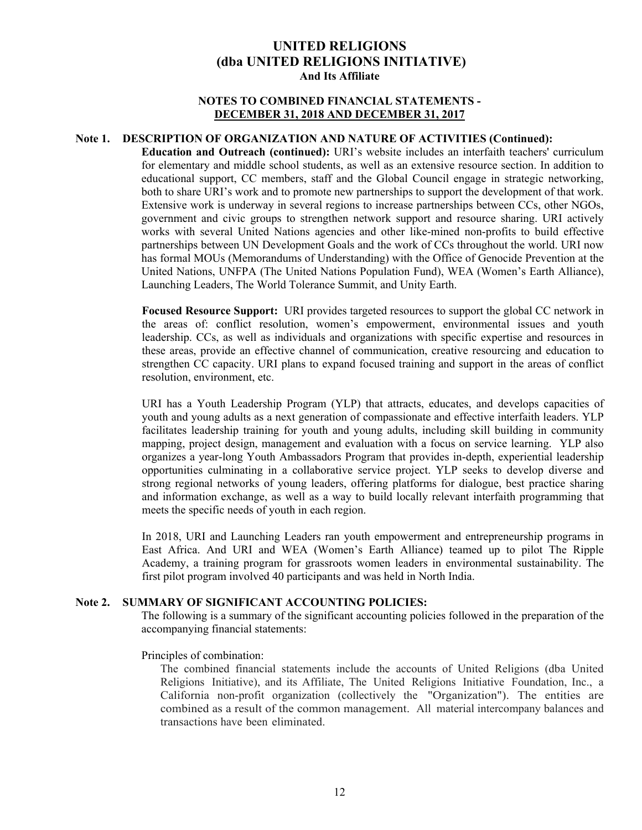#### **NOTES TO COMBINED FINANCIAL STATEMENTS - DECEMBER 31, 2018 AND DECEMBER 31, 2017**

#### **Note 1. DESCRIPTION OF ORGANIZATION AND NATURE OF ACTIVITIES (Continued):**

**Education and Outreach (continued):** URI's website includes an interfaith teachers' curriculum for elementary and middle school students, as well as an extensive resource section. In addition to educational support, CC members, staff and the Global Council engage in strategic networking, both to share URI's work and to promote new partnerships to support the development of that work. Extensive work is underway in several regions to increase partnerships between CCs, other NGOs, government and civic groups to strengthen network support and resource sharing. URI actively works with several United Nations agencies and other like-mined non-profits to build effective partnerships between UN Development Goals and the work of CCs throughout the world. URI now has formal MOUs (Memorandums of Understanding) with the Office of Genocide Prevention at the United Nations, UNFPA (The United Nations Population Fund), WEA (Women's Earth Alliance), Launching Leaders, The World Tolerance Summit, and Unity Earth.

**Focused Resource Support:** URI provides targeted resources to support the global CC network in the areas of: conflict resolution, women's empowerment, environmental issues and youth leadership. CCs, as well as individuals and organizations with specific expertise and resources in these areas, provide an effective channel of communication, creative resourcing and education to strengthen CC capacity. URI plans to expand focused training and support in the areas of conflict resolution, environment, etc.

URI has a Youth Leadership Program (YLP) that attracts, educates, and develops capacities of youth and young adults as a next generation of compassionate and effective interfaith leaders. YLP facilitates leadership training for youth and young adults, including skill building in community mapping, project design, management and evaluation with a focus on service learning. YLP also organizes a year-long Youth Ambassadors Program that provides in-depth, experiential leadership opportunities culminating in a collaborative service project. YLP seeks to develop diverse and strong regional networks of young leaders, offering platforms for dialogue, best practice sharing and information exchange, as well as a way to build locally relevant interfaith programming that meets the specific needs of youth in each region.

In 2018, URI and Launching Leaders ran youth empowerment and entrepreneurship programs in East Africa. And URI and WEA (Women's Earth Alliance) teamed up to pilot The Ripple Academy, a training program for grassroots women leaders in environmental sustainability. The first pilot program involved 40 participants and was held in North India.

#### **Note 2. SUMMARY OF SIGNIFICANT ACCOUNTING POLICIES:**

The following is a summary of the significant accounting policies followed in the preparation of the accompanying financial statements:

#### Principles of combination:

The combined financial statements include the accounts of United Religions (dba United Religions Initiative), and its Affiliate, The United Religions Initiative Foundation, Inc., a California non-profit organization (collectively the "Organization"). The entities are combined as a result of the common management. All material intercompany balances and transactions have been eliminated.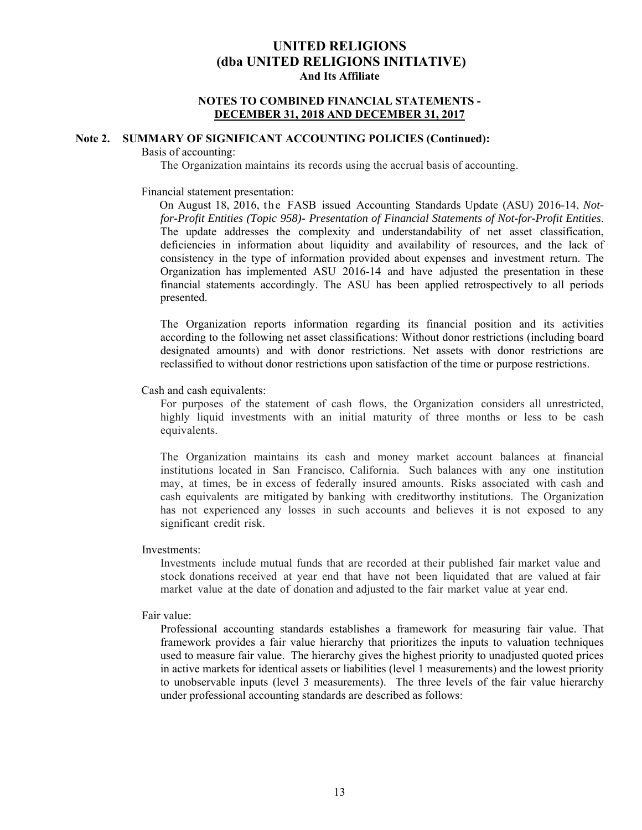#### **NOTES TO COMBINED FINANCIAL STATEMENTS - DECEMBER 31, 2018 AND DECEMBER 31, 2017**

### **Note 2. SUMMARY OF SIGNIFICANT ACCOUNTING POLICIES (Continued):**

#### Basis of accounting:

The Organization maintains its records using the accrual basis of accounting.

#### Financial statement presentation:

 On August 18, 2016, t he FASB issued Accounting Standards Update (ASU) 2016-14, *Notfor-Profit Entities (Topic 958)- Presentation of Financial Statements of Not-for-Profit Entities*. The update addresses the complexity and understandability of net asset classification, deficiencies in information about liquidity and availability of resources, and the lack of consistency in the type of information provided about expenses and investment return. The Organization has implemented ASU 2016-14 and have adjusted the presentation in these financial statements accordingly. The ASU has been applied retrospectively to all periods presented.

The Organization reports information regarding its financial position and its activities according to the following net asset classifications: Without donor restrictions (including board designated amounts) and with donor restrictions. Net assets with donor restrictions are reclassified to without donor restrictions upon satisfaction of the time or purpose restrictions.

Cash and cash equivalents:

For purposes of the statement of cash flows, the Organization considers all unrestricted, highly liquid investments with an initial maturity of three months or less to be cash equivalents.

The Organization maintains its cash and money market account balances at financial institutions located in San Francisco, California. Such balances with any one institution may, at times, be in excess of federally insured amounts. Risks associated with cash and cash equivalents are mitigated by banking with creditworthy institutions. The Organization has not experienced any losses in such accounts and believes it is not exposed to any significant credit risk.

#### Investments:

Investments include mutual funds that are recorded at their published fair market value and stock donations received at year end that have not been liquidated that are valued at fair market value at the date of donation and adjusted to the fair market value at year end.

#### Fair value:

Professional accounting standards establishes a framework for measuring fair value. That framework provides a fair value hierarchy that prioritizes the inputs to valuation techniques used to measure fair value. The hierarchy gives the highest priority to unadjusted quoted prices in active markets for identical assets or liabilities (level 1 measurements) and the lowest priority to unobservable inputs (level 3 measurements). The three levels of the fair value hierarchy under professional accounting standards are described as follows: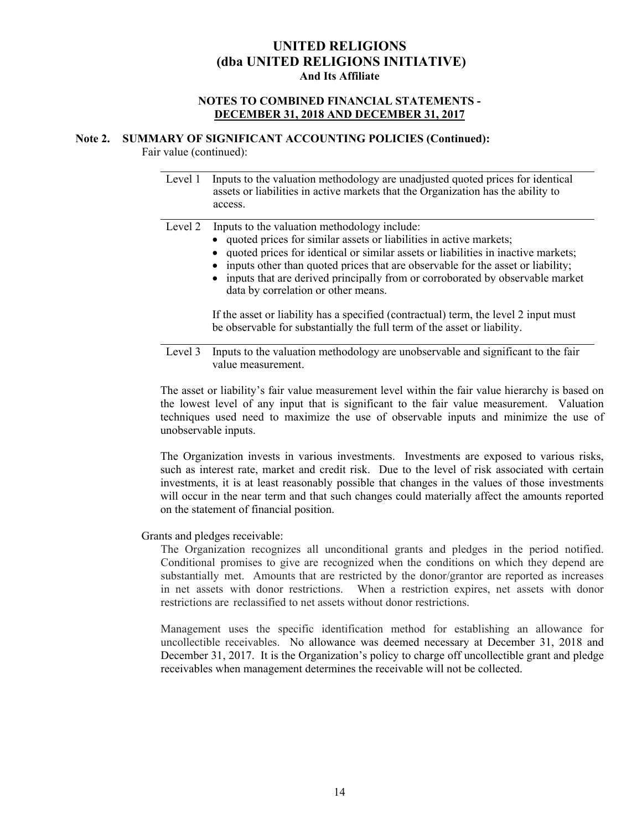#### **NOTES TO COMBINED FINANCIAL STATEMENTS - DECEMBER 31, 2018 AND DECEMBER 31, 2017**

### **Note 2. SUMMARY OF SIGNIFICANT ACCOUNTING POLICIES (Continued):**

Fair value (continued):

| Level 1 | Inputs to the valuation methodology are unadjusted quoted prices for identical<br>assets or liabilities in active markets that the Organization has the ability to<br>access.                                                                                                                                                                                                                                                                                                                                                                                                              |
|---------|--------------------------------------------------------------------------------------------------------------------------------------------------------------------------------------------------------------------------------------------------------------------------------------------------------------------------------------------------------------------------------------------------------------------------------------------------------------------------------------------------------------------------------------------------------------------------------------------|
| Level 2 | Inputs to the valuation methodology include:<br>• quoted prices for similar assets or liabilities in active markets;<br>quoted prices for identical or similar assets or liabilities in inactive markets;<br>inputs other than quoted prices that are observable for the asset or liability;<br>• inputs that are derived principally from or corroborated by observable market<br>data by correlation or other means.<br>If the asset or liability has a specified (contractual) term, the level 2 input must<br>be observable for substantially the full term of the asset or liability. |

Level 3 Inputs to the valuation methodology are unobservable and significant to the fair value measurement.

The asset or liability's fair value measurement level within the fair value hierarchy is based on the lowest level of any input that is significant to the fair value measurement. Valuation techniques used need to maximize the use of observable inputs and minimize the use of unobservable inputs.

The Organization invests in various investments. Investments are exposed to various risks, such as interest rate, market and credit risk. Due to the level of risk associated with certain investments, it is at least reasonably possible that changes in the values of those investments will occur in the near term and that such changes could materially affect the amounts reported on the statement of financial position.

Grants and pledges receivable:

The Organization recognizes all unconditional grants and pledges in the period notified. Conditional promises to give are recognized when the conditions on which they depend are substantially met. Amounts that are restricted by the donor/grantor are reported as increases in net assets with donor restrictions. When a restriction expires, net assets with donor restrictions are reclassified to net assets without donor restrictions.

Management uses the specific identification method for establishing an allowance for uncollectible receivables. No allowance was deemed necessary at December 31, 2018 and December 31, 2017. It is the Organization's policy to charge off uncollectible grant and pledge receivables when management determines the receivable will not be collected.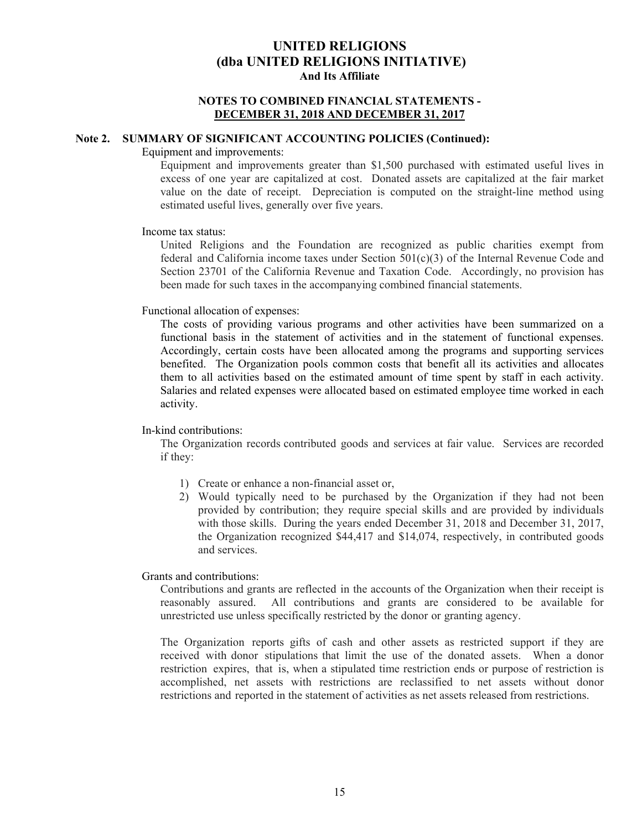#### **NOTES TO COMBINED FINANCIAL STATEMENTS - DECEMBER 31, 2018 AND DECEMBER 31, 2017**

#### **Note 2. SUMMARY OF SIGNIFICANT ACCOUNTING POLICIES (Continued):**

#### Equipment and improvements:

Equipment and improvements greater than \$1,500 purchased with estimated useful lives in excess of one year are capitalized at cost. Donated assets are capitalized at the fair market value on the date of receipt. Depreciation is computed on the straight-line method using estimated useful lives, generally over five years.

#### Income tax status:

United Religions and the Foundation are recognized as public charities exempt from federal and California income taxes under Section  $501(c)(3)$  of the Internal Revenue Code and Section 23701 of the California Revenue and Taxation Code. Accordingly, no provision has been made for such taxes in the accompanying combined financial statements.

#### Functional allocation of expenses:

The costs of providing various programs and other activities have been summarized on a functional basis in the statement of activities and in the statement of functional expenses. Accordingly, certain costs have been allocated among the programs and supporting services benefited. The Organization pools common costs that benefit all its activities and allocates them to all activities based on the estimated amount of time spent by staff in each activity. Salaries and related expenses were allocated based on estimated employee time worked in each activity.

#### In-kind contributions:

The Organization records contributed goods and services at fair value. Services are recorded if they:

- 1) Create or enhance a non-financial asset or,
- 2) Would typically need to be purchased by the Organization if they had not been provided by contribution; they require special skills and are provided by individuals with those skills. During the years ended December 31, 2018 and December 31, 2017, the Organization recognized \$44,417 and \$14,074, respectively, in contributed goods and services.

Grants and contributions:

Contributions and grants are reflected in the accounts of the Organization when their receipt is reasonably assured. All contributions and grants are considered to be available for unrestricted use unless specifically restricted by the donor or granting agency.

The Organization reports gifts of cash and other assets as restricted support if they are received with donor stipulations that limit the use of the donated assets. When a donor restriction expires, that is, when a stipulated time restriction ends or purpose of restriction is accomplished, net assets with restrictions are reclassified to net assets without donor restrictions and reported in the statement of activities as net assets released from restrictions.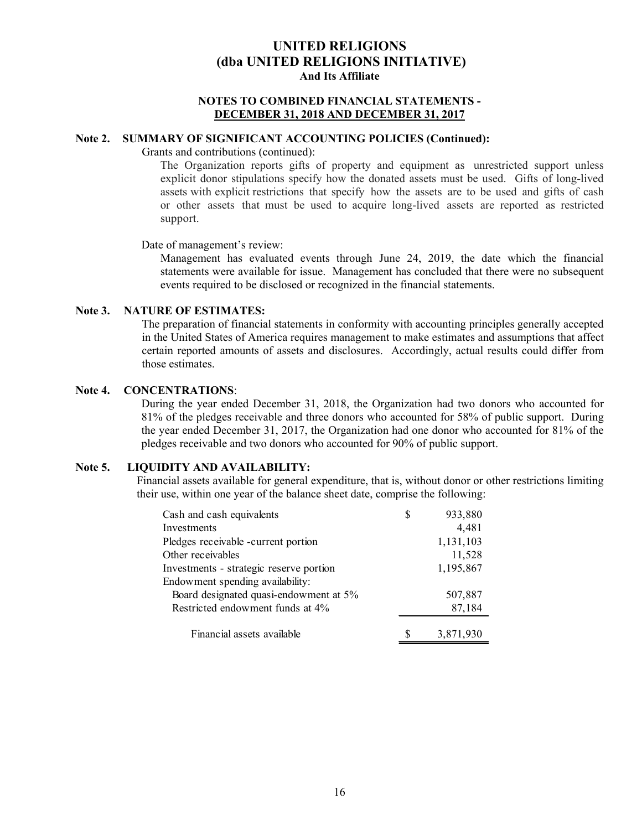#### **NOTES TO COMBINED FINANCIAL STATEMENTS - DECEMBER 31, 2018 AND DECEMBER 31, 2017**

### **Note 2. SUMMARY OF SIGNIFICANT ACCOUNTING POLICIES (Continued):**

Grants and contributions (continued):

The Organization reports gifts of property and equipment as unrestricted support unless explicit donor stipulations specify how the donated assets must be used. Gifts of long-lived assets with explicit restrictions that specify how the assets are to be used and gifts of cash or other assets that must be used to acquire long-lived assets are reported as restricted support.

Date of management's review:

Management has evaluated events through June 24, 2019, the date which the financial statements were available for issue. Management has concluded that there were no subsequent events required to be disclosed or recognized in the financial statements.

#### **Note 3. NATURE OF ESTIMATES:**

The preparation of financial statements in conformity with accounting principles generally accepted in the United States of America requires management to make estimates and assumptions that affect certain reported amounts of assets and disclosures. Accordingly, actual results could differ from those estimates.

#### **Note 4. CONCENTRATIONS**:

During the year ended December 31, 2018, the Organization had two donors who accounted for 81% of the pledges receivable and three donors who accounted for 58% of public support. During the year ended December 31, 2017, the Organization had one donor who accounted for 81% of the pledges receivable and two donors who accounted for 90% of public support.

### **Note 5. LIQUIDITY AND AVAILABILITY:**

Financial assets available for general expenditure, that is, without donor or other restrictions limiting their use, within one year of the balance sheet date, comprise the following:

| Cash and cash equivalents               | S | 933,880   |
|-----------------------------------------|---|-----------|
| Investments                             |   | 4,481     |
| Pledges receivable -current portion     |   | 1,131,103 |
| Other receivables                       |   | 11,528    |
| Investments - strategic reserve portion |   | 1,195,867 |
| Endowment spending availability:        |   |           |
| Board designated quasi-endowment at 5%  |   | 507,887   |
| Restricted endowment funds at 4%        |   | 87,184    |
| Financial assets available              |   | 3,871,930 |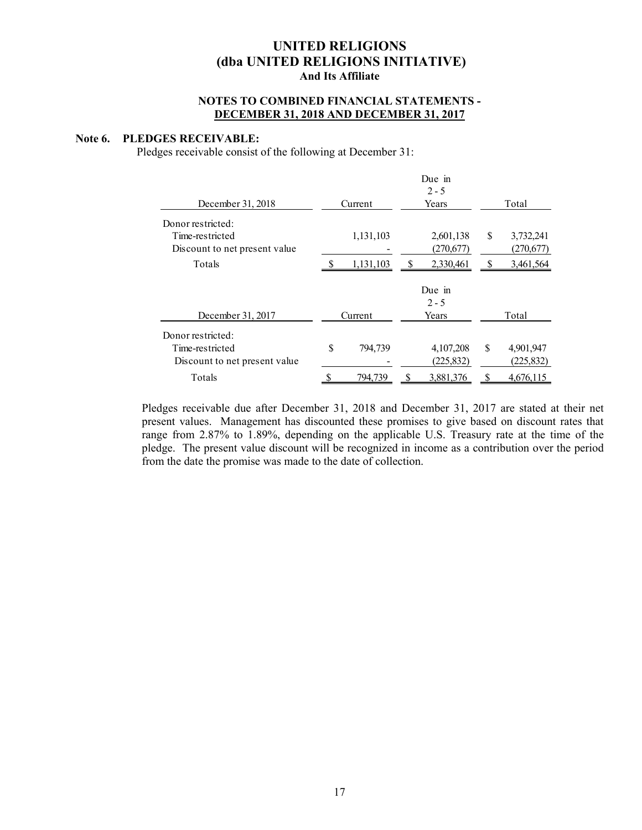#### **NOTES TO COMBINED FINANCIAL STATEMENTS - DECEMBER 31, 2018 AND DECEMBER 31, 2017**

#### **Note 6. PLEDGES RECEIVABLE:**

Pledges receivable consist of the following at December 31:

| December 31, 2018             |         | Current   |       | Years      | Total |            |  |
|-------------------------------|---------|-----------|-------|------------|-------|------------|--|
| Donor restricted:             |         |           |       |            |       |            |  |
| Time-restricted               |         | 1,131,103 |       | 2,601,138  | \$    | 3,732,241  |  |
| Discount to net present value |         |           |       | (270,677)  |       | (270,677)  |  |
| Totals                        |         | 1,131,103 |       | 2,330,461  |       | 3,461,564  |  |
|                               |         |           |       | Due in     |       |            |  |
|                               |         |           |       | $2 - 5$    |       |            |  |
| December 31, 2017             | Current |           | Years |            |       | Total      |  |
| Donor restricted:             |         |           |       |            |       |            |  |
| Time-restricted               | \$      | 794.739   |       | 4,107,208  | \$    | 4,901,947  |  |
| Discount to net present value |         |           |       | (225, 832) |       | (225, 832) |  |
| Totals                        | \$      | 794,739   | S     | 3,881,376  | S     | 4,676,115  |  |

Pledges receivable due after December 31, 2018 and December 31, 2017 are stated at their net present values. Management has discounted these promises to give based on discount rates that range from 2.87% to 1.89%, depending on the applicable U.S. Treasury rate at the time of the pledge. The present value discount will be recognized in income as a contribution over the period from the date the promise was made to the date of collection.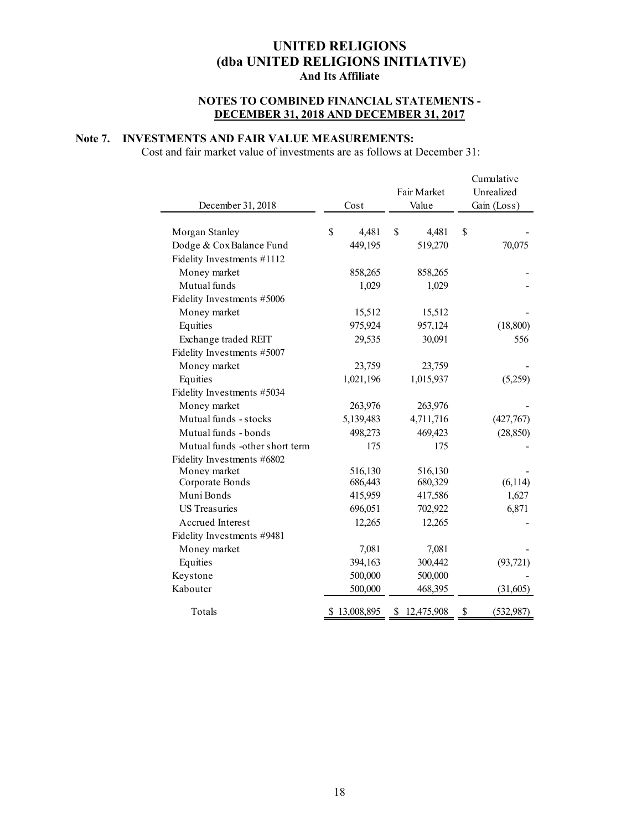### **NOTES TO COMBINED FINANCIAL STATEMENTS - DECEMBER 31, 2018 AND DECEMBER 31, 2017**

### **Note 7. INVESTMENTS AND FAIR VALUE MEASUREMENTS:**

Cost and fair market value of investments are as follows at December 31:

|                                |              |    | Fair Market  |             | Cumulative<br>Unrealized |
|--------------------------------|--------------|----|--------------|-------------|--------------------------|
| December 31, 2018              | Cost         |    | Value        | Gain (Loss) |                          |
|                                | \$           | \$ |              |             |                          |
| Morgan Stanley                 | 4,481        |    | 4,481        | \$          |                          |
| Dodge & Cox Balance Fund       | 449,195      |    | 519,270      |             | 70,075                   |
| Fidelity Investments #1112     |              |    |              |             |                          |
| Money market                   | 858,265      |    | 858,265      |             |                          |
| Mutual funds                   | 1,029        |    | 1,029        |             |                          |
| Fidelity Investments #5006     |              |    |              |             |                          |
| Money market                   | 15,512       |    | 15,512       |             |                          |
| Equities                       | 975,924      |    | 957,124      |             | (18, 800)                |
| Exchange traded REIT           | 29,535       |    | 30,091       |             | 556                      |
| Fidelity Investments #5007     |              |    |              |             |                          |
| Money market                   | 23,759       |    | 23,759       |             |                          |
| Equities                       | 1,021,196    |    | 1,015,937    |             | (5,259)                  |
| Fidelity Investments #5034     |              |    |              |             |                          |
| Money market                   | 263,976      |    | 263,976      |             |                          |
| Mutual funds - stocks          | 5,139,483    |    | 4,711,716    |             | (427,767)                |
| Mutual funds - bonds           | 498,273      |    | 469,423      |             | (28, 850)                |
| Mutual funds -other short term | 175          |    | 175          |             |                          |
| Fidelity Investments #6802     |              |    |              |             |                          |
| Money market                   | 516,130      |    | 516,130      |             |                          |
| Corporate Bonds                | 686,443      |    | 680,329      |             | (6, 114)                 |
| Muni Bonds                     | 415,959      |    | 417,586      |             | 1,627                    |
| <b>US Treasuries</b>           | 696,051      |    | 702,922      |             | 6,871                    |
| Accrued Interest               | 12,265       |    | 12,265       |             |                          |
| Fidelity Investments #9481     |              |    |              |             |                          |
| Money market                   | 7,081        |    | 7,081        |             |                          |
| Equities                       | 394,163      |    | 300,442      |             | (93, 721)                |
| Keystone                       | 500,000      |    | 500,000      |             |                          |
| Kabouter                       | 500,000      |    | 468,395      |             | (31,605)                 |
| Totals                         | \$13,008,895 |    | \$12,475,908 | \$          | (532, 987)               |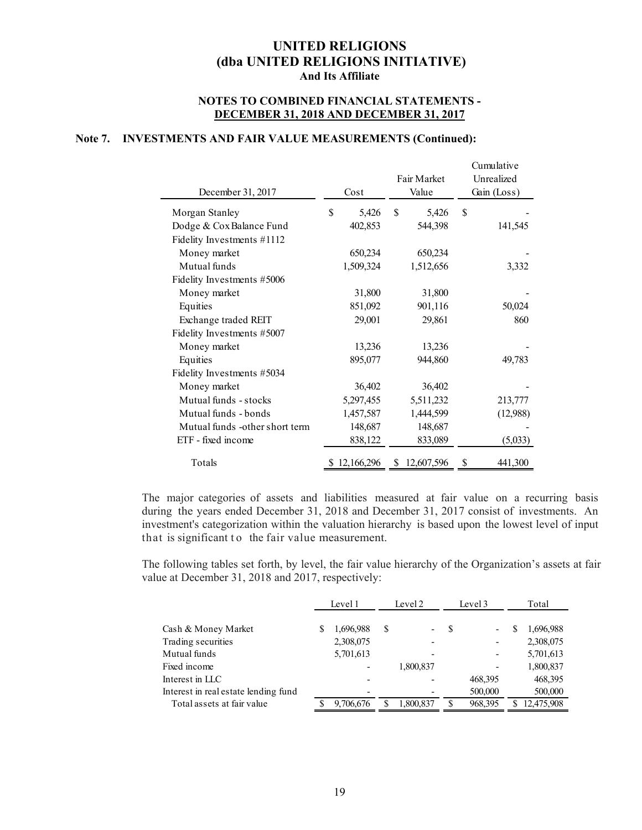#### **NOTES TO COMBINED FINANCIAL STATEMENTS - DECEMBER 31, 2018 AND DECEMBER 31, 2017**

### **Note 7. INVESTMENTS AND FAIR VALUE MEASUREMENTS (Continued):**

| December 31, 2017              | Cost         | Fair Market<br>Value | Cumulative<br>Unrealized<br>Gain (Loss) |  |
|--------------------------------|--------------|----------------------|-----------------------------------------|--|
| Morgan Stanley                 | \$<br>5,426  | \$<br>5,426          | \$                                      |  |
| Dodge & Cox Balance Fund       | 402,853      | 544,398              | 141,545                                 |  |
| Fidelity Investments #1112     |              |                      |                                         |  |
| Money market                   | 650,234      | 650,234              |                                         |  |
| Mutual funds                   | 1,509,324    | 1,512,656            | 3,332                                   |  |
| Fidelity Investments #5006     |              |                      |                                         |  |
| Money market                   | 31,800       | 31,800               |                                         |  |
| Equities                       | 851,092      | 901,116              | 50,024                                  |  |
| Exchange traded REIT           | 29,001       | 29,861               | 860                                     |  |
| Fidelity Investments #5007     |              |                      |                                         |  |
| Money market                   | 13,236       | 13,236               |                                         |  |
| Equities                       | 895,077      | 944,860              | 49,783                                  |  |
| Fidelity Investments #5034     |              |                      |                                         |  |
| Money market                   | 36,402       | 36,402               |                                         |  |
| Mutual funds - stocks          | 5,297,455    | 5,511,232            | 213,777                                 |  |
| Mutual funds - bonds           | 1,457,587    | 1,444,599            | (12,988)                                |  |
| Mutual funds -other short term | 148,687      | 148,687              |                                         |  |
| ETF - fixed income             | 838,122      | 833,089              | (5,033)                                 |  |
| Totals                         | \$12,166,296 | \$12,607,596         | 441,300                                 |  |

The major categories of assets and liabilities measured at fair value on a recurring basis during the years ended December 31, 2018 and December 31, 2017 consist of investments. An investment's categorization within the valuation hierarchy is based upon the lowest level of input that is significant to the fair value measurement.

The following tables set forth, by level, the fair value hierarchy of the Organization's assets at fair value at December 31, 2018 and 2017, respectively:

|                                      |   | Level 1   | Level 2 |           | Level 3 |                          | Total |            |
|--------------------------------------|---|-----------|---------|-----------|---------|--------------------------|-------|------------|
| Cash & Money Market                  | S | 1,696,988 | S       |           | S       | $\overline{\phantom{0}}$ | S     | 1,696,988  |
| Trading securities                   |   | 2,308,075 |         |           |         | -                        |       | 2,308,075  |
| Mutual funds                         |   | 5,701,613 |         |           |         |                          |       | 5,701,613  |
| Fixed income                         |   |           |         | 1,800,837 |         |                          |       | 1,800,837  |
| Interest in LLC                      |   |           |         |           |         | 468,395                  |       | 468,395    |
| Interest in real estate lending fund |   |           |         |           |         | 500,000                  |       | 500,000    |
| Total assets at fair value           |   | 9,706,676 |         | 1,800,837 |         | 968,395                  |       | 12,475,908 |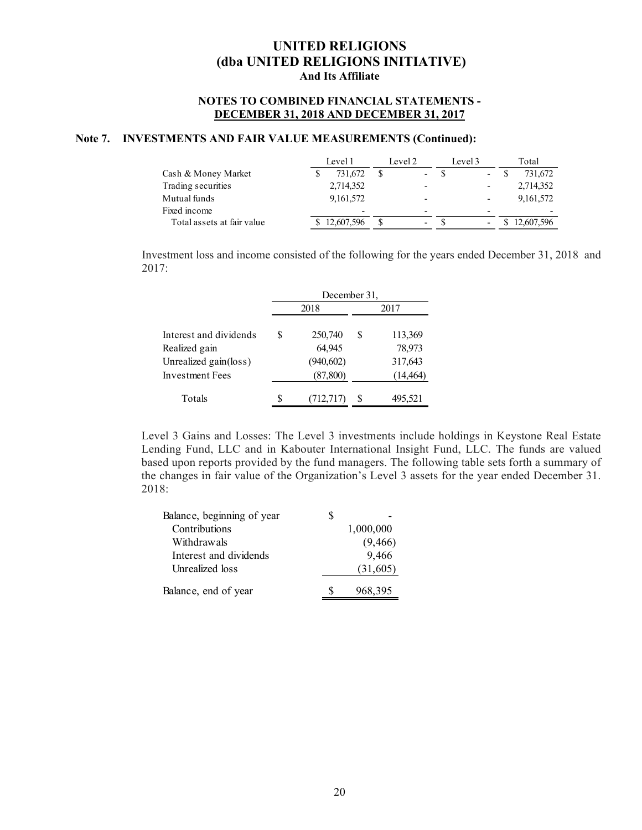#### **NOTES TO COMBINED FINANCIAL STATEMENTS - DECEMBER 31, 2018 AND DECEMBER 31, 2017**

### **Note 7. INVESTMENTS AND FAIR VALUE MEASUREMENTS (Continued):**

|                            | Level 1                  | Level 2                  | Level 3                  | Total       |
|----------------------------|--------------------------|--------------------------|--------------------------|-------------|
| Cash & Money Market        | 731,672                  |                          | $\overline{\phantom{a}}$ | 731,672     |
| Trading securities         | 2,714,352                |                          |                          | 2,714,352   |
| Mutual funds               | 9,161,572                | $\overline{\phantom{0}}$ |                          | 9, 161, 572 |
| Fixed income               | $\overline{\phantom{0}}$ |                          |                          |             |
| Total assets at fair value | 12,607,596               | $\overline{\phantom{0}}$ |                          | 12,607,596  |

Investment loss and income consisted of the following for the years ended December 31, 2018 and 2017:

|                                          | December 31, |                         |      |                      |  |  |
|------------------------------------------|--------------|-------------------------|------|----------------------|--|--|
|                                          |              | 2018                    | 2017 |                      |  |  |
| Interest and dividends<br>Realized gain  | S            | 250,740<br>64,945       | S    | 113,369<br>78,973    |  |  |
| Unrealized gain(loss)<br>Investment Fees |              | (940, 602)<br>(87, 800) |      | 317,643<br>(14, 464) |  |  |
| Totals                                   |              | (712, 717)              | S    | 495,521              |  |  |

Level 3 Gains and Losses: The Level 3 investments include holdings in Keystone Real Estate Lending Fund, LLC and in Kabouter International Insight Fund, LLC. The funds are valued based upon reports provided by the fund managers. The following table sets forth a summary of the changes in fair value of the Organization's Level 3 assets for the year ended December 31. 2018:

| Balance, beginning of year |           |
|----------------------------|-----------|
| Contributions              | 1,000,000 |
| Withdrawals                | (9, 466)  |
| Interest and dividends     | 9,466     |
| Unrealized loss            | (31,605)  |
| Balance, end of year       | 968,395   |
|                            |           |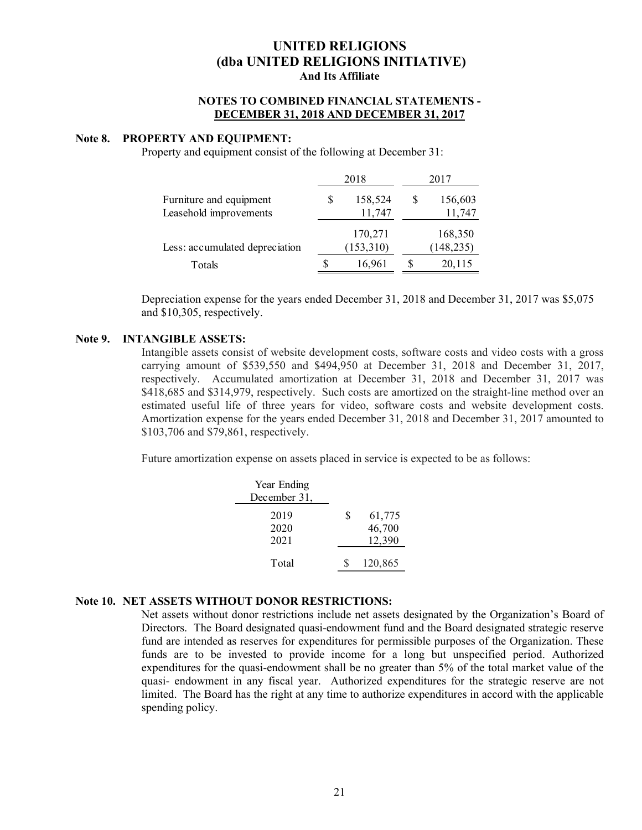#### **NOTES TO COMBINED FINANCIAL STATEMENTS - DECEMBER 31, 2018 AND DECEMBER 31, 2017**

#### **Note 8. PROPERTY AND EQUIPMENT:**

Property and equipment consist of the following at December 31:

|                                | 2018 |            |   | 2017       |
|--------------------------------|------|------------|---|------------|
| Furniture and equipment        | S    | 158,524    | S | 156,603    |
| Leasehold improvements         |      | 11,747     |   | 11,747     |
|                                |      | 170,271    |   | 168,350    |
| Less: accumulated depreciation |      | (153, 310) |   | (148, 235) |
| Totals                         | S    | 16,961     |   | 20,115     |

Depreciation expense for the years ended December 31, 2018 and December 31, 2017 was \$5,075 and \$10,305, respectively.

#### **Note 9. INTANGIBLE ASSETS:**

Intangible assets consist of website development costs, software costs and video costs with a gross carrying amount of \$539,550 and \$494,950 at December 31, 2018 and December 31, 2017, respectively. Accumulated amortization at December 31, 2018 and December 31, 2017 was \$418,685 and \$314,979, respectively. Such costs are amortized on the straight-line method over an estimated useful life of three years for video, software costs and website development costs. Amortization expense for the years ended December 31, 2018 and December 31, 2017 amounted to \$103,706 and \$79,861, respectively.

Future amortization expense on assets placed in service is expected to be as follows:

| Year Ending  |   |         |
|--------------|---|---------|
| December 31, |   |         |
| 2019         | S | 61,775  |
| 2020         |   | 46,700  |
| 2021         |   | 12,390  |
|              |   |         |
| Total        |   | 120,865 |

### **Note 10. NET ASSETS WITHOUT DONOR RESTRICTIONS:**

Net assets without donor restrictions include net assets designated by the Organization's Board of Directors. The Board designated quasi-endowment fund and the Board designated strategic reserve fund are intended as reserves for expenditures for permissible purposes of the Organization. These funds are to be invested to provide income for a long but unspecified period. Authorized expenditures for the quasi-endowment shall be no greater than 5% of the total market value of the quasi- endowment in any fiscal year. Authorized expenditures for the strategic reserve are not limited. The Board has the right at any time to authorize expenditures in accord with the applicable spending policy.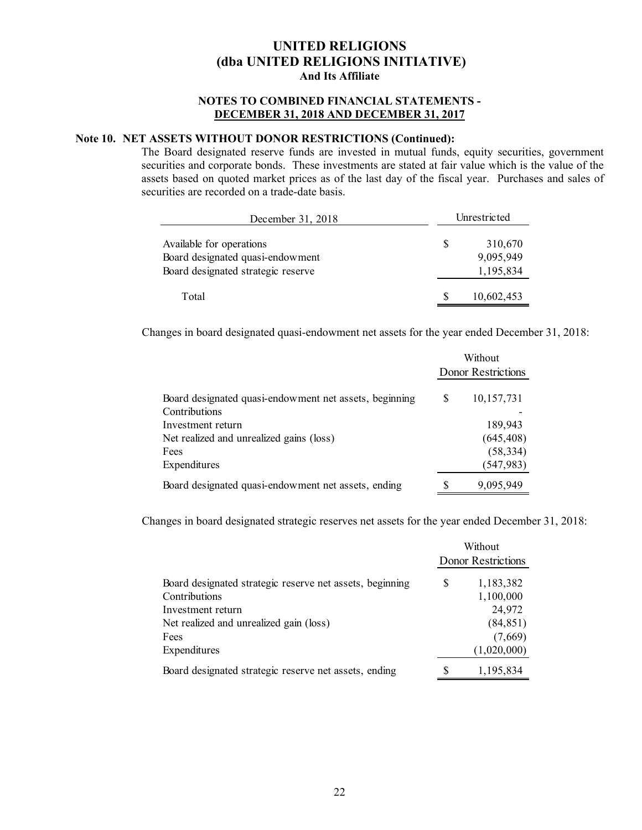### **NOTES TO COMBINED FINANCIAL STATEMENTS - DECEMBER 31, 2018 AND DECEMBER 31, 2017**

### **Note 10. NET ASSETS WITHOUT DONOR RESTRICTIONS (Continued):**

The Board designated reserve funds are invested in mutual funds, equity securities, government securities and corporate bonds. These investments are stated at fair value which is the value of the assets based on quoted market prices as of the last day of the fiscal year. Purchases and sales of securities are recorded on a trade-date basis.

| December 31, 2018                                                                                  |   | Unrestricted                      |  |  |
|----------------------------------------------------------------------------------------------------|---|-----------------------------------|--|--|
| Available for operations<br>Board designated quasi-endowment<br>Board designated strategic reserve | S | 310,670<br>9,095,949<br>1,195,834 |  |  |
| Total                                                                                              |   | 10,602,453                        |  |  |

Changes in board designated quasi-endowment net assets for the year ended December 31, 2018:

|                                                        | Without<br>Donor Restrictions |            |  |
|--------------------------------------------------------|-------------------------------|------------|--|
| Board designated quasi-endowment net assets, beginning | S                             | 10,157,731 |  |
| Contributions                                          |                               |            |  |
| Investment return                                      |                               | 189,943    |  |
| Net realized and unrealized gains (loss)               |                               | (645, 408) |  |
| Fees                                                   |                               | (58, 334)  |  |
| Expenditures                                           |                               | (547, 983) |  |
| Board designated quasi-endowment net assets, ending    | S                             | 9,095,949  |  |

Changes in board designated strategic reserves net assets for the year ended December 31, 2018:

|                                                          |     | Without<br>Donor Restrictions |  |  |
|----------------------------------------------------------|-----|-------------------------------|--|--|
| Board designated strategic reserve net assets, beginning | S   | 1,183,382                     |  |  |
| Contributions                                            |     | 1,100,000                     |  |  |
| Investment return                                        |     | 24,972                        |  |  |
| Net realized and unrealized gain (loss)                  |     | (84, 851)                     |  |  |
| Fees                                                     |     | (7,669)                       |  |  |
| Expenditures                                             |     | (1,020,000)                   |  |  |
| Board designated strategic reserve net assets, ending    | \$. | 1,195,834                     |  |  |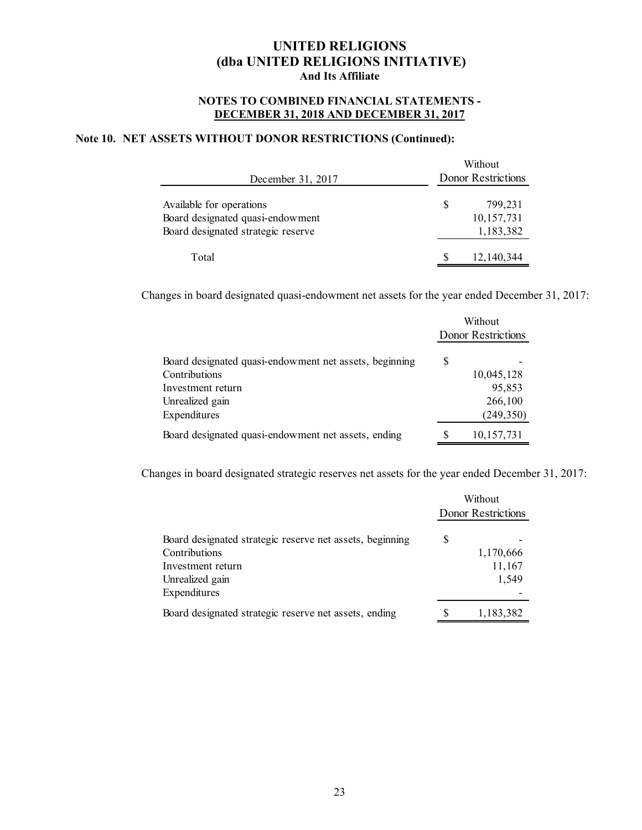#### **NOTES TO COMBINED FINANCIAL STATEMENTS - DECEMBER 31, 2018 AND DECEMBER 31, 2017**

### **Note 10. NET ASSETS WITHOUT DONOR RESTRICTIONS (Continued):**

| December 31, 2017                                                                                  |   | Without<br>Donor Restrictions      |
|----------------------------------------------------------------------------------------------------|---|------------------------------------|
| Available for operations<br>Board designated quasi-endowment<br>Board designated strategic reserve | S | 799.231<br>10,157,731<br>1,183,382 |
| Total                                                                                              |   | 12, 140, 344                       |

Changes in board designated quasi-endowment net assets for the year ended December 31, 2017:

|                                                        | Without<br>Donor Restrictions |              |
|--------------------------------------------------------|-------------------------------|--------------|
| Board designated quasi-endowment net assets, beginning | S                             |              |
| Contributions                                          |                               | 10,045,128   |
| Investment return                                      |                               | 95,853       |
| Unrealized gain                                        |                               | 266,100      |
| Expenditures                                           |                               | (249, 350)   |
| Board designated quasi-endowment net assets, ending    |                               | 10, 157, 731 |

Changes in board designated strategic reserves net assets for the year ended December 31, 2017:

|                                                                           |   | Without<br>Donor Restrictions |  |  |
|---------------------------------------------------------------------------|---|-------------------------------|--|--|
| Board designated strategic reserve net assets, beginning<br>Contributions | S | 1,170,666                     |  |  |
| Investment return                                                         |   | 11,167                        |  |  |
| Unrealized gain                                                           |   | 1,549                         |  |  |
| Expenditures                                                              |   |                               |  |  |
| Board designated strategic reserve net assets, ending                     |   | 1,183,382                     |  |  |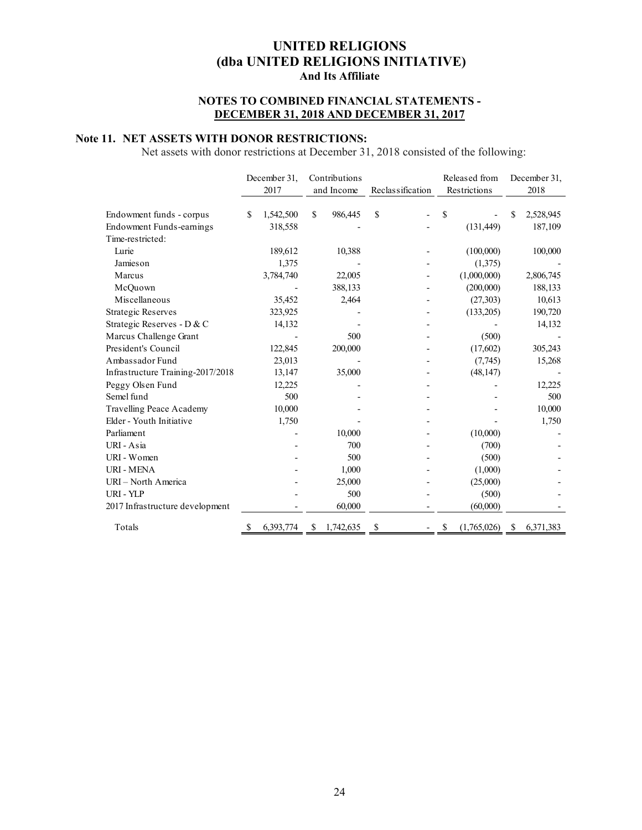### **NOTES TO COMBINED FINANCIAL STATEMENTS - DECEMBER 31, 2018 AND DECEMBER 31, 2017**

### **Note 11. NET ASSETS WITH DONOR RESTRICTIONS:**

Net assets with donor restrictions at December 31, 2018 consisted of the following:

|                                   | December 31, |           | Contributions |            |                  |  | Released from |              | December 31, |           |
|-----------------------------------|--------------|-----------|---------------|------------|------------------|--|---------------|--------------|--------------|-----------|
|                                   |              | 2017      |               | and Income | Reclassification |  |               | Restrictions |              | 2018      |
|                                   |              |           |               |            |                  |  |               |              |              |           |
| Endowment funds - corpus          | \$           | 1,542,500 | \$            | 986,445    | \$               |  | \$            |              | \$           | 2,528,945 |
| Endowment Funds-earnings          |              | 318,558   |               |            |                  |  |               | (131, 449)   |              | 187,109   |
| Time-restricted:                  |              |           |               |            |                  |  |               |              |              |           |
| Lurie                             |              | 189,612   |               | 10,388     |                  |  |               | (100,000)    |              | 100,000   |
| <b>Jamies</b> on                  |              | 1,375     |               |            |                  |  |               | (1,375)      |              |           |
| Marcus                            |              | 3,784,740 |               | 22,005     |                  |  |               | (1,000,000)  |              | 2,806,745 |
| McQuown                           |              |           |               | 388,133    |                  |  |               | (200,000)    |              | 188,133   |
| Miscellaneous                     |              | 35,452    |               | 2,464      |                  |  |               | (27,303)     |              | 10,613    |
| <b>Strategic Reserves</b>         |              | 323,925   |               |            |                  |  |               | (133,205)    |              | 190,720   |
| Strategic Reserves - D & C        |              | 14,132    |               |            |                  |  |               |              |              | 14,132    |
| Marcus Challenge Grant            |              |           |               | 500        |                  |  |               | (500)        |              |           |
| President's Council               |              | 122,845   |               | 200,000    |                  |  |               | (17,602)     |              | 305,243   |
| Ambassador Fund                   |              | 23,013    |               |            |                  |  |               | (7,745)      |              | 15,268    |
| Infrastructure Training-2017/2018 |              | 13,147    |               | 35,000     |                  |  |               | (48, 147)    |              |           |
| Peggy Olsen Fund                  |              | 12,225    |               |            |                  |  |               |              |              | 12,225    |
| Semel fund                        |              | 500       |               |            |                  |  |               |              |              | 500       |
| Travelling Peace Academy          |              | 10,000    |               |            |                  |  |               |              |              | 10,000    |
| Elder - Youth Initiative          |              | 1,750     |               |            |                  |  |               |              |              | 1,750     |
| Parliament                        |              |           |               | 10,000     |                  |  |               | (10,000)     |              |           |
| URI - Asia                        |              |           |               | 700        |                  |  |               | (700)        |              |           |
| URI - Women                       |              |           |               | 500        |                  |  |               | (500)        |              |           |
| <b>URI - MENA</b>                 |              |           |               | 1,000      |                  |  |               | (1,000)      |              |           |
| URI - North America               |              |           |               | 25,000     |                  |  |               | (25,000)     |              |           |
| URI - YLP                         |              |           |               | 500        |                  |  |               | (500)        |              |           |
| 2017 Infrastructure development   |              |           |               | 60,000     |                  |  |               | (60,000)     |              |           |
| Totals                            | \$           | 6,393,774 | S             | 1,742,635  | \$               |  | \$            | (1,765,026)  | S            | 6,371,383 |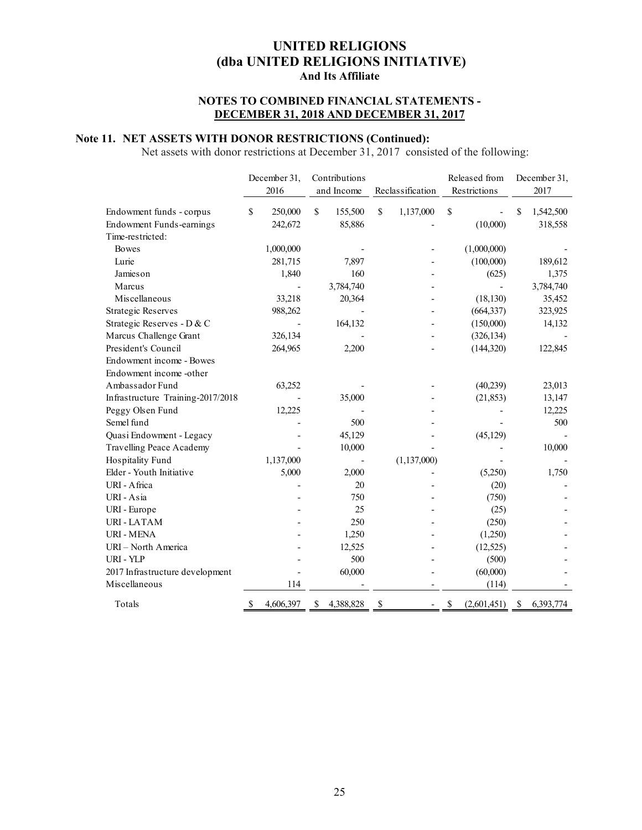### **NOTES TO COMBINED FINANCIAL STATEMENTS - DECEMBER 31, 2018 AND DECEMBER 31, 2017**

### **Note 11. NET ASSETS WITH DONOR RESTRICTIONS (Continued):**

Net assets with donor restrictions at December 31, 2017 consisted of the following:

|                                              | December 31,   | Contributions   |                  | Released from     | December 31,    |
|----------------------------------------------|----------------|-----------------|------------------|-------------------|-----------------|
|                                              | 2016           | and Income      | Reclassification | Restrictions      | 2017            |
|                                              | \$             | \$              | \$               |                   | \$              |
| Endowment funds - corpus                     | 250,000        | 155,500         | 1,137,000        | \$                | 1,542,500       |
| Endowment Funds-earnings<br>Time-restricted: | 242,672        | 85,886          |                  | (10,000)          | 318,558         |
|                                              |                |                 |                  |                   |                 |
| <b>Bowes</b><br>Lurie                        | 1,000,000      |                 |                  | (1,000,000)       |                 |
|                                              | 281,715        | 7,897           |                  | (100,000)         | 189,612         |
| Jamieson                                     | 1,840          | 160             |                  | (625)             | 1,375           |
| Marcus                                       |                | 3,784,740       |                  |                   | 3,784,740       |
| Miscellaneous                                | 33,218         | 20,364          |                  | (18, 130)         | 35,452          |
| <b>Strategic Reserves</b>                    | 988,262        |                 |                  | (664, 337)        | 323,925         |
| Strategic Reserves - D & C                   |                | 164,132         |                  | (150,000)         | 14,132          |
| Marcus Challenge Grant                       | 326,134        |                 |                  | (326, 134)        |                 |
| President's Council                          | 264,965        | 2,200           |                  | (144, 320)        | 122,845         |
| Endowment income - Bowes                     |                |                 |                  |                   |                 |
| Endowment income -other                      |                |                 |                  |                   |                 |
| Ambassador Fund                              | 63,252         |                 |                  | (40,239)          | 23,013          |
| Infrastructure Training-2017/2018            |                | 35,000          |                  | (21, 853)         | 13,147          |
| Peggy Olsen Fund                             | 12,225         |                 |                  |                   | 12,225          |
| Semel fund                                   |                | 500             |                  |                   | 500             |
| Quasi Endowment - Legacy                     |                | 45,129          |                  | (45, 129)         |                 |
| <b>Travelling Peace Academy</b>              |                | 10,000          |                  |                   | 10,000          |
| Hospitality Fund                             | 1,137,000      |                 | (1, 137, 000)    |                   |                 |
| Elder - Youth Initiative                     | 5,000          | 2,000           |                  | (5,250)           | 1,750           |
| URI - Africa                                 |                | 20              |                  | (20)              |                 |
| URI - Asia                                   |                | 750             |                  | (750)             |                 |
| URI - Europe                                 |                | 25              |                  | (25)              |                 |
| <b>URI-LATAM</b>                             |                | 250             |                  | (250)             |                 |
| <b>URI - MENA</b>                            |                | 1,250           |                  | (1,250)           |                 |
| URI - North America                          |                | 12,525          |                  | (12, 525)         |                 |
| URI - YLP                                    |                | 500             |                  | (500)             |                 |
| 2017 Infrastructure development              |                | 60,000          |                  | (60,000)          |                 |
| Miscellaneous                                | 114            |                 |                  | (114)             |                 |
| Totals                                       | 4,606,397<br>S | 4,388,828<br>\$ | \$               | (2,601,451)<br>\$ | \$<br>6,393,774 |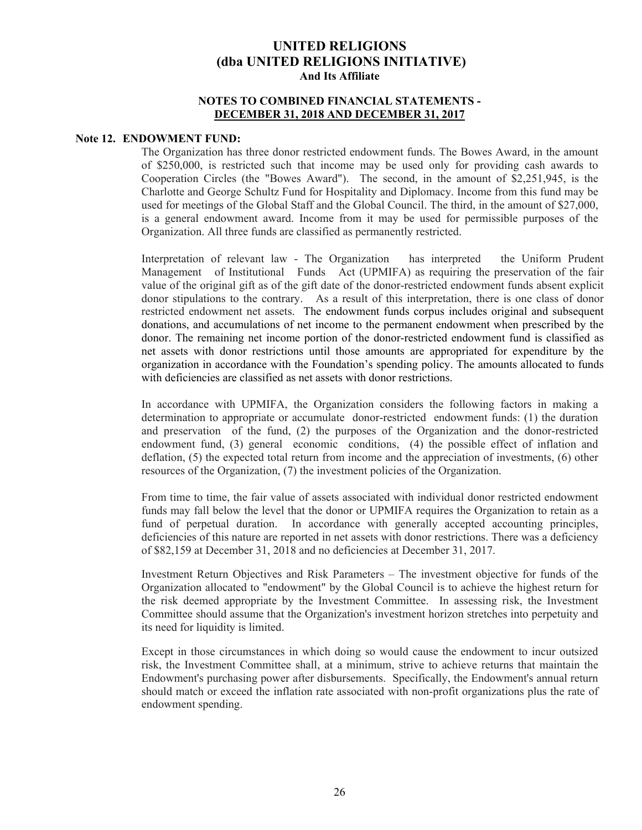#### **NOTES TO COMBINED FINANCIAL STATEMENTS - DECEMBER 31, 2018 AND DECEMBER 31, 2017**

#### **Note 12. ENDOWMENT FUND:**

The Organization has three donor restricted endowment funds. The Bowes Award, in the amount of \$250,000, is restricted such that income may be used only for providing cash awards to Cooperation Circles (the "Bowes Award"). The second, in the amount of \$2,251,945, is the Charlotte and George Schultz Fund for Hospitality and Diplomacy. Income from this fund may be used for meetings of the Global Staff and the Global Council. The third, in the amount of \$27,000, is a general endowment award. Income from it may be used for permissible purposes of the Organization. All three funds are classified as permanently restricted.

Interpretation of relevant law - The Organization has interpreted the Uniform Prudent Management of Institutional Funds Act (UPMIFA) as requiring the preservation of the fair value of the original gift as of the gift date of the donor-restricted endowment funds absent explicit donor stipulations to the contrary. As a result of this interpretation, there is one class of donor restricted endowment net assets. The endowment funds corpus includes original and subsequent donations, and accumulations of net income to the permanent endowment when prescribed by the donor. The remaining net income portion of the donor-restricted endowment fund is classified as net assets with donor restrictions until those amounts are appropriated for expenditure by the organization in accordance with the Foundation's spending policy. The amounts allocated to funds with deficiencies are classified as net assets with donor restrictions.

In accordance with UPMIFA, the Organization considers the following factors in making a determination to appropriate or accumulate donor-restricted endowment funds: (1) the duration and preservation of the fund, (2) the purposes of the Organization and the donor-restricted endowment fund, (3) general economic conditions, (4) the possible effect of inflation and deflation, (5) the expected total return from income and the appreciation of investments, (6) other resources of the Organization, (7) the investment policies of the Organization.

From time to time, the fair value of assets associated with individual donor restricted endowment funds may fall below the level that the donor or UPMIFA requires the Organization to retain as a fund of perpetual duration. In accordance with generally accepted accounting principles, deficiencies of this nature are reported in net assets with donor restrictions. There was a deficiency of \$82,159 at December 31, 2018 and no deficiencies at December 31, 2017.

Investment Return Objectives and Risk Parameters – The investment objective for funds of the Organization allocated to "endowment" by the Global Council is to achieve the highest return for the risk deemed appropriate by the Investment Committee. In assessing risk, the Investment Committee should assume that the Organization's investment horizon stretches into perpetuity and its need for liquidity is limited.

Except in those circumstances in which doing so would cause the endowment to incur outsized risk, the Investment Committee shall, at a minimum, strive to achieve returns that maintain the Endowment's purchasing power after disbursements. Specifically, the Endowment's annual return should match or exceed the inflation rate associated with non-profit organizations plus the rate of endowment spending.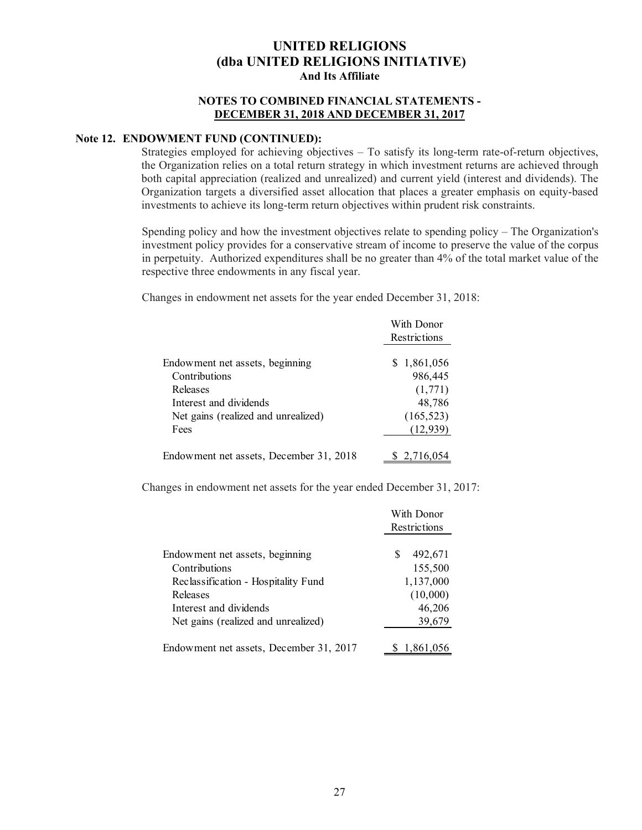### **NOTES TO COMBINED FINANCIAL STATEMENTS - DECEMBER 31, 2018 AND DECEMBER 31, 2017**

### **Note 12. ENDOWMENT FUND (CONTINUED):**

Strategies employed for achieving objectives – To satisfy its long-term rate-of-return objectives, the Organization relies on a total return strategy in which investment returns are achieved through both capital appreciation (realized and unrealized) and current yield (interest and dividends). The Organization targets a diversified asset allocation that places a greater emphasis on equity-based investments to achieve its long-term return objectives within prudent risk constraints.

Spending policy and how the investment objectives relate to spending policy – The Organization's investment policy provides for a conservative stream of income to preserve the value of the corpus in perpetuity. Authorized expenditures shall be no greater than 4% of the total market value of the respective three endowments in any fiscal year.

Changes in endowment net assets for the year ended December 31, 2018:

|                                         | With Donor<br>Restrictions |
|-----------------------------------------|----------------------------|
| Endowment net assets, beginning         | 1,861,056<br>S.            |
| Contributions                           | 986,445                    |
| Releases                                | (1,771)                    |
| Interest and dividends                  | 48,786                     |
| Net gains (realized and unrealized)     | (165, 523)                 |
| Fees                                    | (12, 939)                  |
| Endowment net assets, December 31, 2018 | 2.716.05                   |

Changes in endowment net assets for the year ended December 31, 2017:

|                                         | With Donor   |  |
|-----------------------------------------|--------------|--|
|                                         | Restrictions |  |
|                                         |              |  |
| Endowment net assets, beginning         | 492,671<br>S |  |
| Contributions                           | 155,500      |  |
| Reclassification - Hospitality Fund     | 1,137,000    |  |
| Releases                                | (10,000)     |  |
| Interest and dividends                  | 46,206       |  |
| Net gains (realized and unrealized)     | 39,679       |  |
|                                         |              |  |
| Endowment net assets, December 31, 2017 | 1,861,056    |  |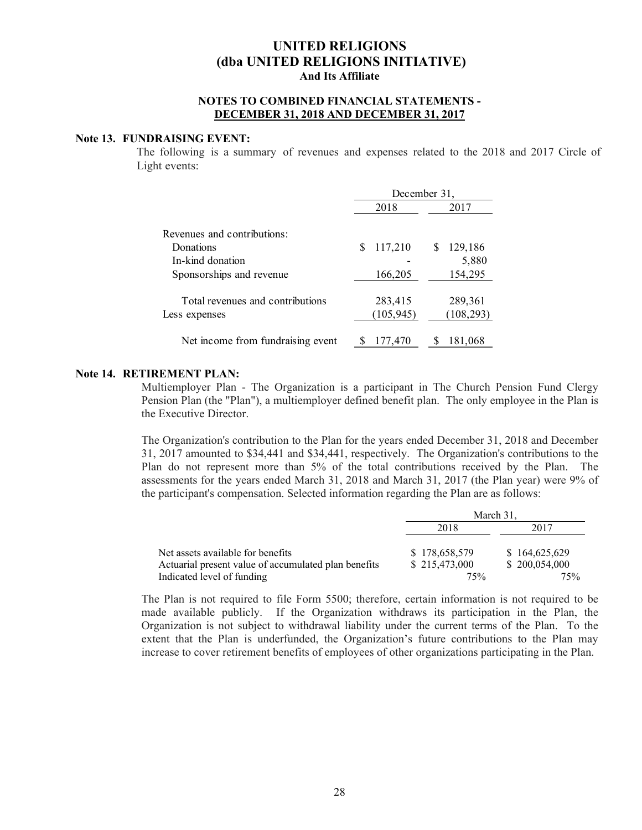#### **NOTES TO COMBINED FINANCIAL STATEMENTS - DECEMBER 31, 2018 AND DECEMBER 31, 2017**

#### **Note 13. FUNDRAISING EVENT:**

The following is a summary of revenues and expenses related to the 2018 and 2017 Circle of Light events:

|                                                   | December 31,          |                       |  |  |  |
|---------------------------------------------------|-----------------------|-----------------------|--|--|--|
|                                                   | 2018                  | 2017                  |  |  |  |
| Revenues and contributions:                       |                       |                       |  |  |  |
| Donations                                         | 117,210<br>S          | 129,186               |  |  |  |
| In-kind donation                                  |                       | 5,880                 |  |  |  |
| Sponsorships and revenue                          | 166,205               | 154,295               |  |  |  |
| Total revenues and contributions<br>Less expenses | 283,415<br>(105, 945) | 289,361<br>(108, 293) |  |  |  |
| Net income from fundraising event                 | 177,470               | 181.068               |  |  |  |

#### **Note 14. RETIREMENT PLAN:**

Multiemployer Plan - The Organization is a participant in The Church Pension Fund Clergy Pension Plan (the "Plan"), a multiemployer defined benefit plan. The only employee in the Plan is the Executive Director.

The Organization's contribution to the Plan for the years ended December 31, 2018 and December 31, 2017 amounted to \$34,441 and \$34,441, respectively. The Organization's contributions to the Plan do not represent more than 5% of the total contributions received by the Plan. The assessments for the years ended March 31, 2018 and March 31, 2017 (the Plan year) were 9% of the participant's compensation. Selected information regarding the Plan are as follows:

|                                                                                    | March 31.     |               |  |  |
|------------------------------------------------------------------------------------|---------------|---------------|--|--|
|                                                                                    | 2018          | 2017          |  |  |
| Net assets available for benefits                                                  | \$178,658,579 | \$164,625,629 |  |  |
|                                                                                    | \$215,473,000 | \$200,054,000 |  |  |
| Actuarial present value of accumulated plan benefits<br>Indicated level of funding | 75%           | 75%           |  |  |

The Plan is not required to file Form 5500; therefore, certain information is not required to be made available publicly. If the Organization withdraws its participation in the Plan, the Organization is not subject to withdrawal liability under the current terms of the Plan. To the extent that the Plan is underfunded, the Organization's future contributions to the Plan may increase to cover retirement benefits of employees of other organizations participating in the Plan.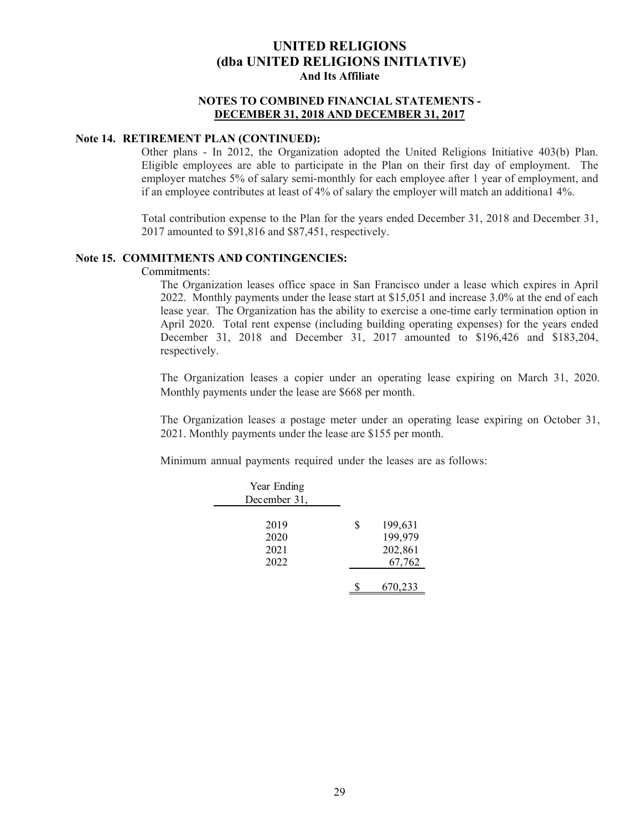#### **NOTES TO COMBINED FINANCIAL STATEMENTS - DECEMBER 31, 2018 AND DECEMBER 31, 2017**

### **Note 14. RETIREMENT PLAN (CONTINUED):**

Other plans - In 2012, the Organization adopted the United Religions Initiative 403(b) Plan. Eligible employees are able to participate in the Plan on their first day of employment. The employer matches 5% of salary semi-monthly for each employee after 1 year of employment, and if an employee contributes at least of 4% of salary the employer will match an additiona1 4%.

Total contribution expense to the Plan for the years ended December 31, 2018 and December 31, 2017 amounted to \$91,816 and \$87,451, respectively.

#### **Note 15. COMMITMENTS AND CONTINGENCIES:**

Commitments:

The Organization leases office space in San Francisco under a lease which expires in April 2022. Monthly payments under the lease start at \$15,051 and increase 3.0% at the end of each lease year. The Organization has the ability to exercise a one-time early termination option in April 2020. Total rent expense (including building operating expenses) for the years ended December 31, 2018 and December 31, 2017 amounted to \$196,426 and \$183,204, respectively.

The Organization leases a copier under an operating lease expiring on March 31, 2020. Monthly payments under the lease are \$668 per month.

The Organization leases a postage meter under an operating lease expiring on October 31, 2021. Monthly payments under the lease are \$155 per month.

Minimum annual payments required under the leases are as follows:

| Year Ending  |               |
|--------------|---------------|
| December 31, |               |
|              |               |
| 2019         | \$<br>199,631 |
| 2020         | 199,979       |
| 2021         | 202,861       |
| 2022         | 67,762        |
|              |               |
|              | 670,233       |
|              |               |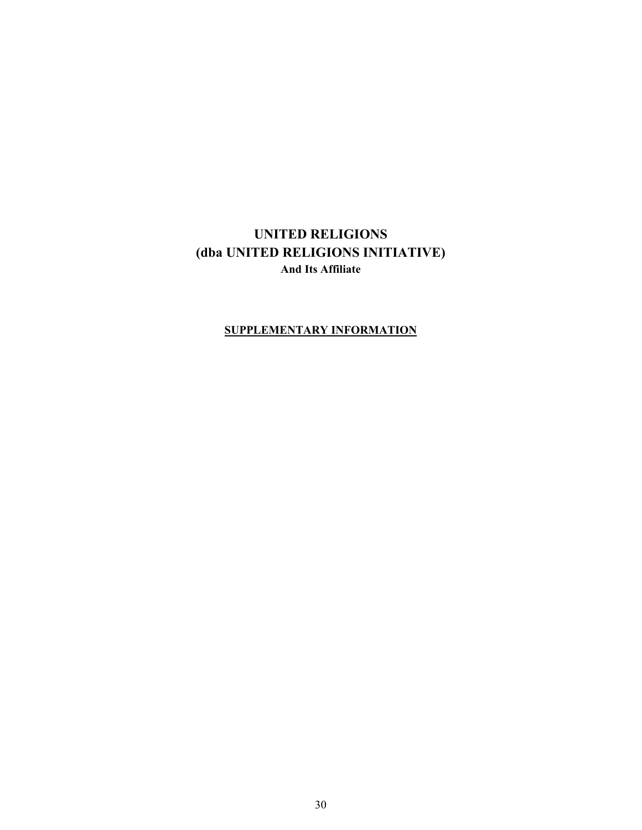### **SUPPLEMENTARY INFORMATION**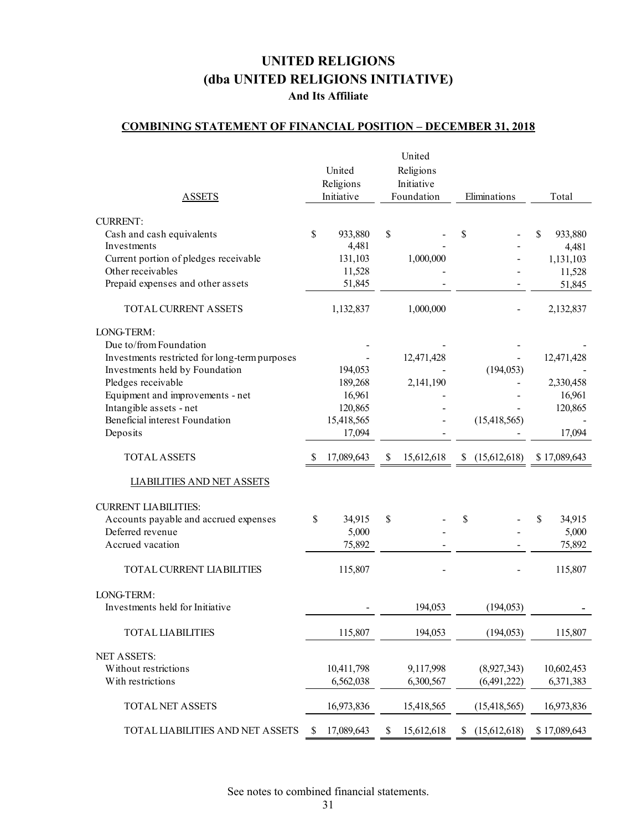### **COMBINING STATEMENT OF FINANCIAL POSITION – DECEMBER 31, 2018**

| <b>ASSETS</b>                                          |              | United<br>Religions<br>Initiative |    | United<br>Religions<br>Initiative<br>Foundation |    | Eliminations   | Total           |  |
|--------------------------------------------------------|--------------|-----------------------------------|----|-------------------------------------------------|----|----------------|-----------------|--|
| <b>CURRENT:</b>                                        |              |                                   |    |                                                 |    |                |                 |  |
| Cash and cash equivalents                              | $\mathbb{S}$ | 933,880                           | \$ |                                                 | \$ |                | \$<br>933,880   |  |
| Investments                                            |              | 4,481                             |    |                                                 |    |                | 4,481           |  |
| Current portion of pledges receivable                  |              | 131,103                           |    | 1,000,000                                       |    |                | 1,131,103       |  |
| Other receivables<br>Prepaid expenses and other assets |              | 11,528<br>51,845                  |    |                                                 |    |                | 11,528          |  |
|                                                        |              |                                   |    |                                                 |    |                | 51,845          |  |
| TOTAL CURRENT ASSETS                                   |              | 1,132,837                         |    | 1,000,000                                       |    |                | 2,132,837       |  |
| LONG-TERM:                                             |              |                                   |    |                                                 |    |                |                 |  |
| Due to/from Foundation                                 |              |                                   |    |                                                 |    |                |                 |  |
| Investments restricted for long-term purposes          |              |                                   |    | 12,471,428                                      |    |                | 12,471,428      |  |
| Investments held by Foundation                         |              | 194,053                           |    |                                                 |    | (194, 053)     |                 |  |
| Pledges receivable                                     |              | 189,268                           |    | 2,141,190                                       |    |                | 2,330,458       |  |
| Equipment and improvements - net                       |              | 16,961                            |    |                                                 |    |                | 16,961          |  |
| Intangible assets - net                                |              | 120,865                           |    |                                                 |    |                | 120,865         |  |
| Beneficial interest Foundation<br>Deposits             |              | 15,418,565<br>17,094              |    |                                                 |    | (15, 418, 565) | 17,094          |  |
|                                                        |              |                                   |    |                                                 |    |                |                 |  |
| <b>TOTAL ASSETS</b>                                    | S            | 17,089,643                        | \$ | 15,612,618                                      | \$ | (15,612,618)   | \$17,089,643    |  |
|                                                        |              |                                   |    |                                                 |    |                |                 |  |
| <b>LIABILITIES AND NET ASSETS</b>                      |              |                                   |    |                                                 |    |                |                 |  |
|                                                        |              |                                   |    |                                                 |    |                |                 |  |
| <b>CURRENT LIABILITIES:</b>                            |              |                                   |    |                                                 |    |                |                 |  |
| Accounts payable and accrued expenses                  | \$           | 34,915                            | \$ |                                                 | \$ |                | \$<br>34,915    |  |
| Deferred revenue<br>Accrued vacation                   |              | 5,000<br>75,892                   |    |                                                 |    |                | 5,000<br>75,892 |  |
| TOTAL CURRENT LIABILITIES                              |              | 115,807                           |    |                                                 |    |                | 115,807         |  |
|                                                        |              |                                   |    |                                                 |    |                |                 |  |
| LONG-TERM:<br>Investments held for Initiative          |              |                                   |    | 194,053                                         |    |                |                 |  |
|                                                        |              |                                   |    |                                                 |    | (194, 053)     |                 |  |
| <b>TOTAL LIABILITIES</b>                               |              | 115,807                           |    | 194,053                                         |    | (194, 053)     | 115,807         |  |
| <b>NET ASSETS:</b>                                     |              |                                   |    |                                                 |    |                |                 |  |
| Without restrictions                                   |              | 10,411,798                        |    | 9,117,998                                       |    | (8,927,343)    | 10,602,453      |  |
| With restrictions                                      |              | 6,562,038                         |    | 6,300,567                                       |    | (6,491,222)    | 6,371,383       |  |
| <b>TOTAL NET ASSETS</b>                                |              | 16,973,836                        |    | 15,418,565                                      |    | (15, 418, 565) | 16,973,836      |  |